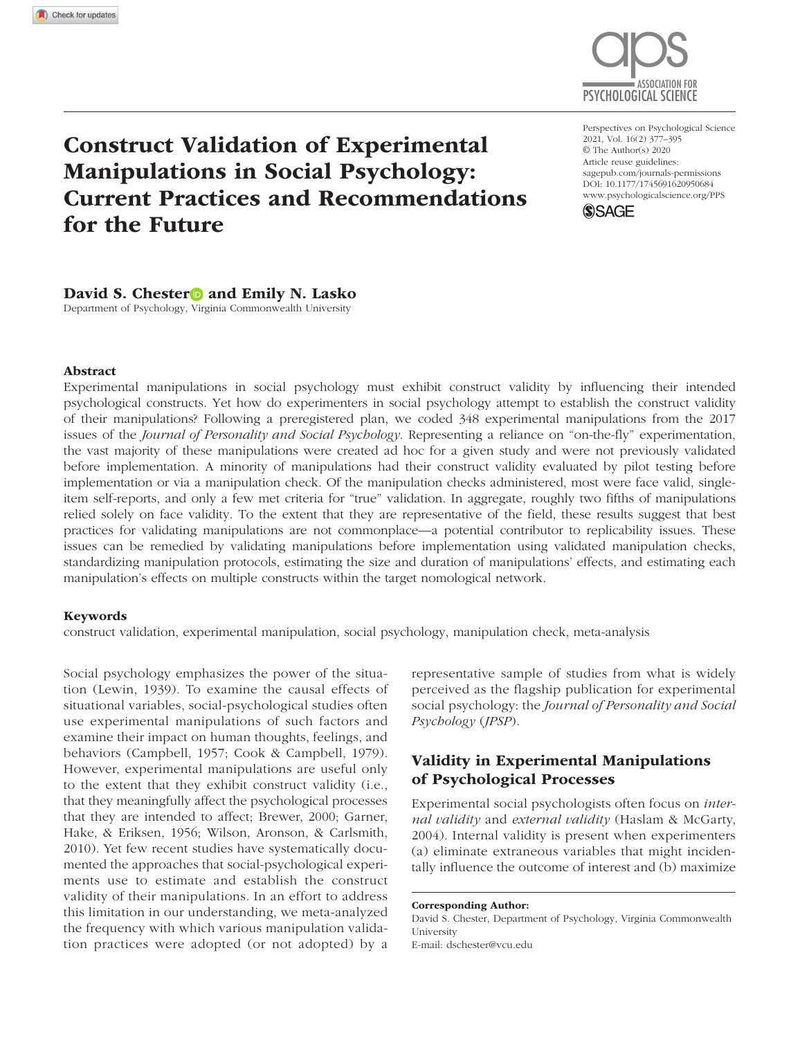

# Construct Validation of Experimental Manipulations in Social Psychology: Current Practices and Recommendations for the Future

DOI: 10.1177/1745691620950684 Perspectives on Psychological Science 2021, Vol. 16(2) 377–395 © The Author(s) 2020 Article reuse guidelines: [sagepub.com/journals-permissions](https://us.sagepub.com/en-us/journals-permissions) [www.psychologicalscience.org/PPS](http://www.psychologicalscience.org/pps)



## David S. Chester and Emily N. Lasko

Department of Psychology, Virginia Commonwealth University

#### Abstract

Experimental manipulations in social psychology must exhibit construct validity by influencing their intended psychological constructs. Yet how do experimenters in social psychology attempt to establish the construct validity of their manipulations? Following a preregistered plan, we coded 348 experimental manipulations from the 2017 issues of the *Journal of Personality and Social Psychology*. Representing a reliance on "on-the-fly" experimentation, the vast majority of these manipulations were created ad hoc for a given study and were not previously validated before implementation. A minority of manipulations had their construct validity evaluated by pilot testing before implementation or via a manipulation check. Of the manipulation checks administered, most were face valid, singleitem self-reports, and only a few met criteria for "true" validation. In aggregate, roughly two fifths of manipulations relied solely on face validity. To the extent that they are representative of the field, these results suggest that best practices for validating manipulations are not commonplace—a potential contributor to replicability issues. These issues can be remedied by validating manipulations before implementation using validated manipulation checks, standardizing manipulation protocols, estimating the size and duration of manipulations' effects, and estimating each manipulation's effects on multiple constructs within the target nomological network.

#### Keywords

construct validation, experimental manipulation, social psychology, manipulation check, meta-analysis

Social psychology emphasizes the power of the situation (Lewin, 1939). To examine the causal effects of situational variables, social-psychological studies often use experimental manipulations of such factors and examine their impact on human thoughts, feelings, and behaviors (Campbell, 1957; Cook & Campbell, 1979). However, experimental manipulations are useful only to the extent that they exhibit construct validity (i.e., that they meaningfully affect the psychological processes that they are intended to affect; Brewer, 2000; Garner, Hake, & Eriksen, 1956; Wilson, Aronson, & Carlsmith, 2010). Yet few recent studies have systematically documented the approaches that social-psychological experiments use to estimate and establish the construct validity of their manipulations. In an effort to address this limitation in our understanding, we meta-analyzed the frequency with which various manipulation validation practices were adopted (or not adopted) by a

representative sample of studies from what is widely perceived as the flagship publication for experimental social psychology: the *Journal of Personality and Social Psychology* (*JPSP*).

# Validity in Experimental Manipulations of Psychological Processes

Experimental social psychologists often focus on *internal validity* and *external validity* (Haslam & McGarty, 2004). Internal validity is present when experimenters (a) eliminate extraneous variables that might incidentally influence the outcome of interest and (b) maximize

Corresponding Author: David S. Chester, Department of Psychology, Virginia Commonwealth **University** E-mail: [dschester@vcu.edu](mailto:dschester@vcu.edu)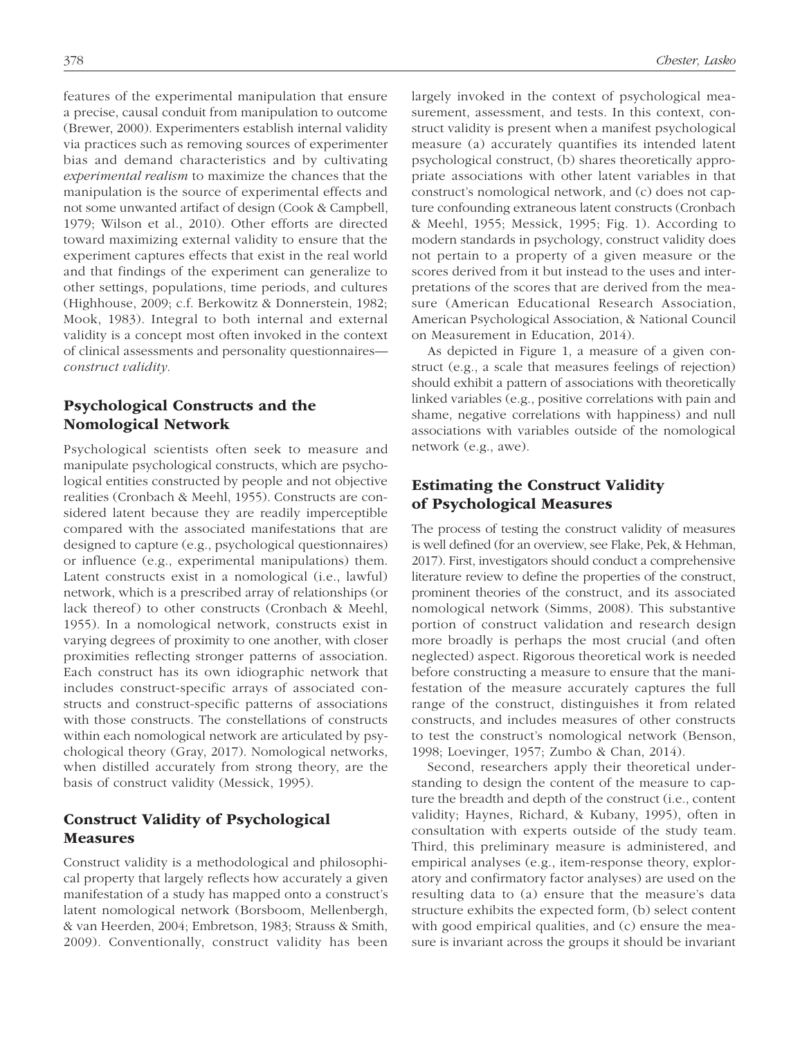features of the experimental manipulation that ensure a precise, causal conduit from manipulation to outcome (Brewer, 2000). Experimenters establish internal validity via practices such as removing sources of experimenter bias and demand characteristics and by cultivating *experimental realism* to maximize the chances that the manipulation is the source of experimental effects and not some unwanted artifact of design (Cook & Campbell, 1979; Wilson et al., 2010). Other efforts are directed toward maximizing external validity to ensure that the experiment captures effects that exist in the real world and that findings of the experiment can generalize to other settings, populations, time periods, and cultures (Highhouse, 2009; c.f. Berkowitz & Donnerstein, 1982; Mook, 1983). Integral to both internal and external validity is a concept most often invoked in the context of clinical assessments and personality questionnaires *construct validity*.

# Psychological Constructs and the Nomological Network

Psychological scientists often seek to measure and manipulate psychological constructs, which are psychological entities constructed by people and not objective realities (Cronbach & Meehl, 1955). Constructs are considered latent because they are readily imperceptible compared with the associated manifestations that are designed to capture (e.g., psychological questionnaires) or influence (e.g., experimental manipulations) them. Latent constructs exist in a nomological (i.e., lawful) network, which is a prescribed array of relationships (or lack thereof) to other constructs (Cronbach & Meehl, 1955). In a nomological network, constructs exist in varying degrees of proximity to one another, with closer proximities reflecting stronger patterns of association. Each construct has its own idiographic network that includes construct-specific arrays of associated constructs and construct-specific patterns of associations with those constructs. The constellations of constructs within each nomological network are articulated by psychological theory (Gray, 2017). Nomological networks, when distilled accurately from strong theory, are the basis of construct validity (Messick, 1995).

# Construct Validity of Psychological Measures

Construct validity is a methodological and philosophical property that largely reflects how accurately a given manifestation of a study has mapped onto a construct's latent nomological network (Borsboom, Mellenbergh, & van Heerden, 2004; Embretson, 1983; Strauss & Smith, 2009). Conventionally, construct validity has been largely invoked in the context of psychological measurement, assessment, and tests. In this context, construct validity is present when a manifest psychological measure (a) accurately quantifies its intended latent psychological construct, (b) shares theoretically appropriate associations with other latent variables in that construct's nomological network, and (c) does not capture confounding extraneous latent constructs (Cronbach & Meehl, 1955; Messick, 1995; Fig. 1). According to modern standards in psychology, construct validity does not pertain to a property of a given measure or the scores derived from it but instead to the uses and interpretations of the scores that are derived from the measure (American Educational Research Association, American Psychological Association, & National Council on Measurement in Education, 2014).

As depicted in Figure 1, a measure of a given construct (e.g., a scale that measures feelings of rejection) should exhibit a pattern of associations with theoretically linked variables (e.g., positive correlations with pain and shame, negative correlations with happiness) and null associations with variables outside of the nomological network (e.g., awe).

# Estimating the Construct Validity of Psychological Measures

The process of testing the construct validity of measures is well defined (for an overview, see Flake, Pek, & Hehman, 2017). First, investigators should conduct a comprehensive literature review to define the properties of the construct, prominent theories of the construct, and its associated nomological network (Simms, 2008). This substantive portion of construct validation and research design more broadly is perhaps the most crucial (and often neglected) aspect. Rigorous theoretical work is needed before constructing a measure to ensure that the manifestation of the measure accurately captures the full range of the construct, distinguishes it from related constructs, and includes measures of other constructs to test the construct's nomological network (Benson, 1998; Loevinger, 1957; Zumbo & Chan, 2014).

Second, researchers apply their theoretical understanding to design the content of the measure to capture the breadth and depth of the construct (i.e., content validity; Haynes, Richard, & Kubany, 1995), often in consultation with experts outside of the study team. Third, this preliminary measure is administered, and empirical analyses (e.g., item-response theory, exploratory and confirmatory factor analyses) are used on the resulting data to (a) ensure that the measure's data structure exhibits the expected form, (b) select content with good empirical qualities, and (c) ensure the measure is invariant across the groups it should be invariant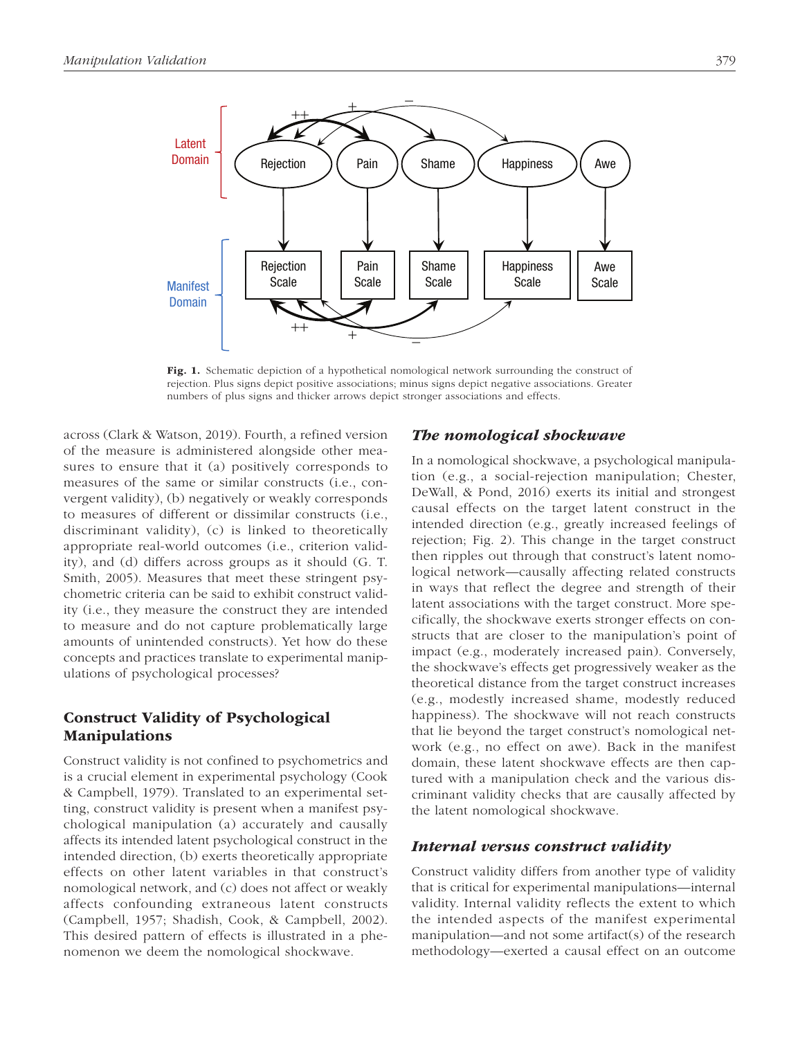

Fig. 1. Schematic depiction of a hypothetical nomological network surrounding the construct of rejection. Plus signs depict positive associations; minus signs depict negative associations. Greater numbers of plus signs and thicker arrows depict stronger associations and effects.

across (Clark & Watson, 2019). Fourth, a refined version of the measure is administered alongside other measures to ensure that it (a) positively corresponds to measures of the same or similar constructs (i.e., convergent validity), (b) negatively or weakly corresponds to measures of different or dissimilar constructs (i.e., discriminant validity), (c) is linked to theoretically appropriate real-world outcomes (i.e., criterion validity), and (d) differs across groups as it should (G. T. Smith, 2005). Measures that meet these stringent psychometric criteria can be said to exhibit construct validity (i.e., they measure the construct they are intended to measure and do not capture problematically large amounts of unintended constructs). Yet how do these concepts and practices translate to experimental manipulations of psychological processes?

## Construct Validity of Psychological Manipulations

Construct validity is not confined to psychometrics and is a crucial element in experimental psychology (Cook & Campbell, 1979). Translated to an experimental setting, construct validity is present when a manifest psychological manipulation (a) accurately and causally affects its intended latent psychological construct in the intended direction, (b) exerts theoretically appropriate effects on other latent variables in that construct's nomological network, and (c) does not affect or weakly affects confounding extraneous latent constructs (Campbell, 1957; Shadish, Cook, & Campbell, 2002). This desired pattern of effects is illustrated in a phenomenon we deem the nomological shockwave.

## *The nomological shockwave*

In a nomological shockwave, a psychological manipulation (e.g., a social-rejection manipulation; Chester, DeWall, & Pond, 2016) exerts its initial and strongest causal effects on the target latent construct in the intended direction (e.g., greatly increased feelings of rejection; Fig. 2). This change in the target construct then ripples out through that construct's latent nomological network—causally affecting related constructs in ways that reflect the degree and strength of their latent associations with the target construct. More specifically, the shockwave exerts stronger effects on constructs that are closer to the manipulation's point of impact (e.g., moderately increased pain). Conversely, the shockwave's effects get progressively weaker as the theoretical distance from the target construct increases (e.g., modestly increased shame, modestly reduced happiness). The shockwave will not reach constructs that lie beyond the target construct's nomological network (e.g., no effect on awe). Back in the manifest domain, these latent shockwave effects are then captured with a manipulation check and the various discriminant validity checks that are causally affected by the latent nomological shockwave.

#### *Internal versus construct validity*

Construct validity differs from another type of validity that is critical for experimental manipulations—internal validity. Internal validity reflects the extent to which the intended aspects of the manifest experimental manipulation—and not some artifact(s) of the research methodology—exerted a causal effect on an outcome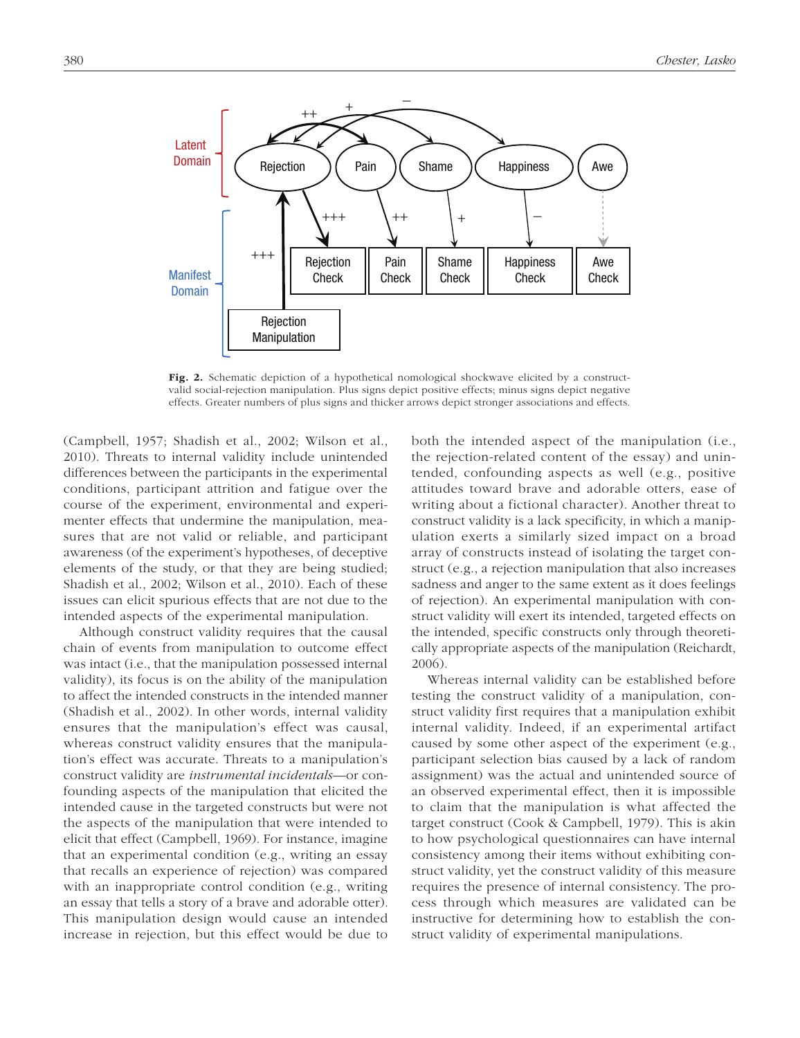

Fig. 2. Schematic depiction of a hypothetical nomological shockwave elicited by a constructvalid social-rejection manipulation. Plus signs depict positive effects; minus signs depict negative effects. Greater numbers of plus signs and thicker arrows depict stronger associations and effects.

(Campbell, 1957; Shadish et al., 2002; Wilson et al., 2010). Threats to internal validity include unintended differences between the participants in the experimental conditions, participant attrition and fatigue over the course of the experiment, environmental and experimenter effects that undermine the manipulation, measures that are not valid or reliable, and participant awareness (of the experiment's hypotheses, of deceptive elements of the study, or that they are being studied; Shadish et al., 2002; Wilson et al., 2010). Each of these issues can elicit spurious effects that are not due to the intended aspects of the experimental manipulation.

Although construct validity requires that the causal chain of events from manipulation to outcome effect was intact (i.e., that the manipulation possessed internal validity), its focus is on the ability of the manipulation to affect the intended constructs in the intended manner (Shadish et al., 2002). In other words, internal validity ensures that the manipulation's effect was causal, whereas construct validity ensures that the manipulation's effect was accurate. Threats to a manipulation's construct validity are *instrumental incidentals*—or confounding aspects of the manipulation that elicited the intended cause in the targeted constructs but were not the aspects of the manipulation that were intended to elicit that effect (Campbell, 1969). For instance, imagine that an experimental condition (e.g., writing an essay that recalls an experience of rejection) was compared with an inappropriate control condition (e.g., writing an essay that tells a story of a brave and adorable otter). This manipulation design would cause an intended increase in rejection, but this effect would be due to both the intended aspect of the manipulation (i.e., the rejection-related content of the essay) and unintended, confounding aspects as well (e.g., positive attitudes toward brave and adorable otters, ease of writing about a fictional character). Another threat to construct validity is a lack specificity, in which a manipulation exerts a similarly sized impact on a broad array of constructs instead of isolating the target construct (e.g., a rejection manipulation that also increases sadness and anger to the same extent as it does feelings of rejection). An experimental manipulation with construct validity will exert its intended, targeted effects on the intended, specific constructs only through theoretically appropriate aspects of the manipulation (Reichardt, 2006).

Whereas internal validity can be established before testing the construct validity of a manipulation, construct validity first requires that a manipulation exhibit internal validity. Indeed, if an experimental artifact caused by some other aspect of the experiment (e.g., participant selection bias caused by a lack of random assignment) was the actual and unintended source of an observed experimental effect, then it is impossible to claim that the manipulation is what affected the target construct (Cook & Campbell, 1979). This is akin to how psychological questionnaires can have internal consistency among their items without exhibiting construct validity, yet the construct validity of this measure requires the presence of internal consistency. The process through which measures are validated can be instructive for determining how to establish the construct validity of experimental manipulations.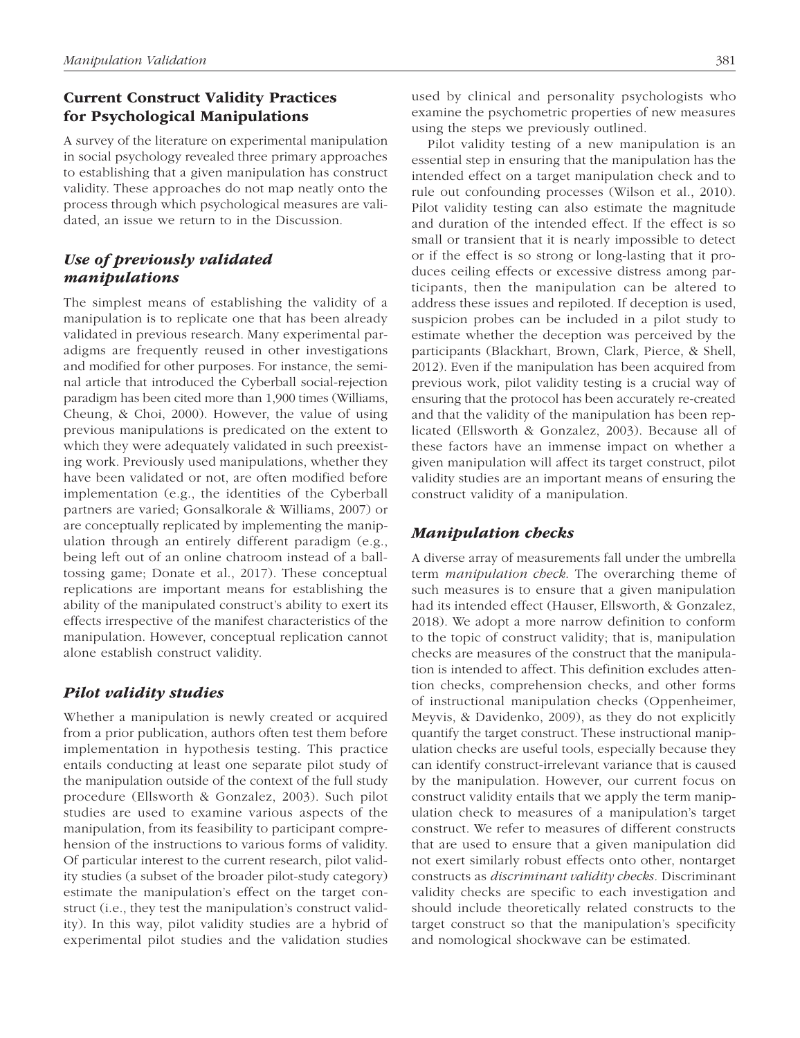# Current Construct Validity Practices for Psychological Manipulations

A survey of the literature on experimental manipulation in social psychology revealed three primary approaches to establishing that a given manipulation has construct validity. These approaches do not map neatly onto the process through which psychological measures are validated, an issue we return to in the Discussion.

# *Use of previously validated manipulations*

The simplest means of establishing the validity of a manipulation is to replicate one that has been already validated in previous research. Many experimental paradigms are frequently reused in other investigations and modified for other purposes. For instance, the seminal article that introduced the Cyberball social-rejection paradigm has been cited more than 1,900 times (Williams, Cheung, & Choi, 2000). However, the value of using previous manipulations is predicated on the extent to which they were adequately validated in such preexisting work. Previously used manipulations, whether they have been validated or not, are often modified before implementation (e.g., the identities of the Cyberball partners are varied; Gonsalkorale & Williams, 2007) or are conceptually replicated by implementing the manipulation through an entirely different paradigm (e.g., being left out of an online chatroom instead of a balltossing game; Donate et al., 2017). These conceptual replications are important means for establishing the ability of the manipulated construct's ability to exert its effects irrespective of the manifest characteristics of the manipulation. However, conceptual replication cannot alone establish construct validity.

# *Pilot validity studies*

Whether a manipulation is newly created or acquired from a prior publication, authors often test them before implementation in hypothesis testing. This practice entails conducting at least one separate pilot study of the manipulation outside of the context of the full study procedure (Ellsworth & Gonzalez, 2003). Such pilot studies are used to examine various aspects of the manipulation, from its feasibility to participant comprehension of the instructions to various forms of validity. Of particular interest to the current research, pilot validity studies (a subset of the broader pilot-study category) estimate the manipulation's effect on the target construct (i.e., they test the manipulation's construct validity). In this way, pilot validity studies are a hybrid of experimental pilot studies and the validation studies used by clinical and personality psychologists who examine the psychometric properties of new measures using the steps we previously outlined.

Pilot validity testing of a new manipulation is an essential step in ensuring that the manipulation has the intended effect on a target manipulation check and to rule out confounding processes (Wilson et al., 2010). Pilot validity testing can also estimate the magnitude and duration of the intended effect. If the effect is so small or transient that it is nearly impossible to detect or if the effect is so strong or long-lasting that it produces ceiling effects or excessive distress among participants, then the manipulation can be altered to address these issues and repiloted. If deception is used, suspicion probes can be included in a pilot study to estimate whether the deception was perceived by the participants (Blackhart, Brown, Clark, Pierce, & Shell, 2012). Even if the manipulation has been acquired from previous work, pilot validity testing is a crucial way of ensuring that the protocol has been accurately re-created and that the validity of the manipulation has been replicated (Ellsworth & Gonzalez, 2003). Because all of these factors have an immense impact on whether a given manipulation will affect its target construct, pilot validity studies are an important means of ensuring the construct validity of a manipulation.

## *Manipulation checks*

A diverse array of measurements fall under the umbrella term *manipulation check*. The overarching theme of such measures is to ensure that a given manipulation had its intended effect (Hauser, Ellsworth, & Gonzalez, 2018). We adopt a more narrow definition to conform to the topic of construct validity; that is, manipulation checks are measures of the construct that the manipulation is intended to affect. This definition excludes attention checks, comprehension checks, and other forms of instructional manipulation checks (Oppenheimer, Meyvis, & Davidenko, 2009), as they do not explicitly quantify the target construct. These instructional manipulation checks are useful tools, especially because they can identify construct-irrelevant variance that is caused by the manipulation. However, our current focus on construct validity entails that we apply the term manipulation check to measures of a manipulation's target construct. We refer to measures of different constructs that are used to ensure that a given manipulation did not exert similarly robust effects onto other, nontarget constructs as *discriminant validity checks.* Discriminant validity checks are specific to each investigation and should include theoretically related constructs to the target construct so that the manipulation's specificity and nomological shockwave can be estimated.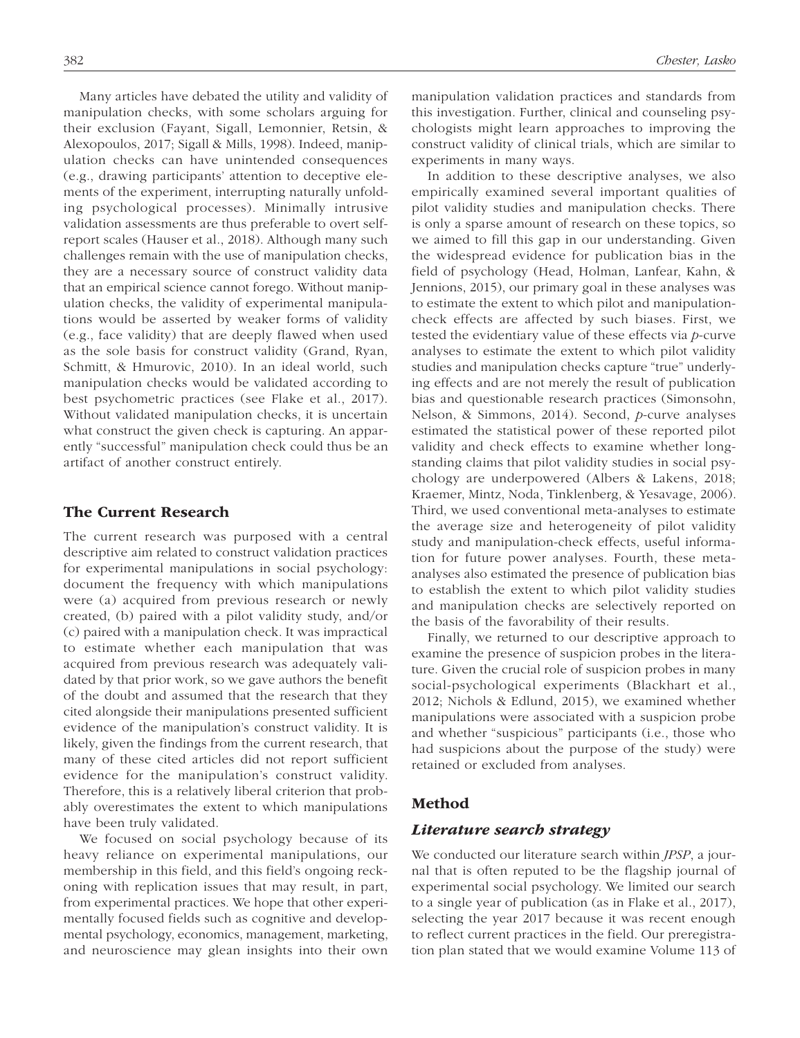Many articles have debated the utility and validity of manipulation checks, with some scholars arguing for their exclusion (Fayant, Sigall, Lemonnier, Retsin, & Alexopoulos, 2017; Sigall & Mills, 1998). Indeed, manipulation checks can have unintended consequences (e.g., drawing participants' attention to deceptive elements of the experiment, interrupting naturally unfolding psychological processes). Minimally intrusive validation assessments are thus preferable to overt selfreport scales (Hauser et al., 2018). Although many such challenges remain with the use of manipulation checks, they are a necessary source of construct validity data that an empirical science cannot forego. Without manipulation checks, the validity of experimental manipulations would be asserted by weaker forms of validity (e.g., face validity) that are deeply flawed when used as the sole basis for construct validity (Grand, Ryan, Schmitt, & Hmurovic, 2010). In an ideal world, such manipulation checks would be validated according to best psychometric practices (see Flake et al., 2017). Without validated manipulation checks, it is uncertain what construct the given check is capturing. An apparently "successful" manipulation check could thus be an artifact of another construct entirely.

#### The Current Research

The current research was purposed with a central descriptive aim related to construct validation practices for experimental manipulations in social psychology: document the frequency with which manipulations were (a) acquired from previous research or newly created, (b) paired with a pilot validity study, and/or (c) paired with a manipulation check. It was impractical to estimate whether each manipulation that was acquired from previous research was adequately validated by that prior work, so we gave authors the benefit of the doubt and assumed that the research that they cited alongside their manipulations presented sufficient evidence of the manipulation's construct validity. It is likely, given the findings from the current research, that many of these cited articles did not report sufficient evidence for the manipulation's construct validity. Therefore, this is a relatively liberal criterion that probably overestimates the extent to which manipulations have been truly validated.

We focused on social psychology because of its heavy reliance on experimental manipulations, our membership in this field, and this field's ongoing reckoning with replication issues that may result, in part, from experimental practices. We hope that other experimentally focused fields such as cognitive and developmental psychology, economics, management, marketing, and neuroscience may glean insights into their own manipulation validation practices and standards from this investigation. Further, clinical and counseling psychologists might learn approaches to improving the construct validity of clinical trials, which are similar to experiments in many ways.

In addition to these descriptive analyses, we also empirically examined several important qualities of pilot validity studies and manipulation checks. There is only a sparse amount of research on these topics, so we aimed to fill this gap in our understanding. Given the widespread evidence for publication bias in the field of psychology (Head, Holman, Lanfear, Kahn, & Jennions, 2015), our primary goal in these analyses was to estimate the extent to which pilot and manipulationcheck effects are affected by such biases. First, we tested the evidentiary value of these effects via *p*-curve analyses to estimate the extent to which pilot validity studies and manipulation checks capture "true" underlying effects and are not merely the result of publication bias and questionable research practices (Simonsohn, Nelson, & Simmons, 2014). Second, *p*-curve analyses estimated the statistical power of these reported pilot validity and check effects to examine whether longstanding claims that pilot validity studies in social psychology are underpowered (Albers & Lakens, 2018; Kraemer, Mintz, Noda, Tinklenberg, & Yesavage, 2006). Third, we used conventional meta-analyses to estimate the average size and heterogeneity of pilot validity study and manipulation-check effects, useful information for future power analyses. Fourth, these metaanalyses also estimated the presence of publication bias to establish the extent to which pilot validity studies and manipulation checks are selectively reported on the basis of the favorability of their results.

Finally, we returned to our descriptive approach to examine the presence of suspicion probes in the literature. Given the crucial role of suspicion probes in many social-psychological experiments (Blackhart et al., 2012; Nichols & Edlund, 2015), we examined whether manipulations were associated with a suspicion probe and whether "suspicious" participants (i.e., those who had suspicions about the purpose of the study) were retained or excluded from analyses.

#### Method

#### *Literature search strategy*

We conducted our literature search within *JPSP*, a journal that is often reputed to be the flagship journal of experimental social psychology. We limited our search to a single year of publication (as in Flake et al., 2017), selecting the year 2017 because it was recent enough to reflect current practices in the field. Our preregistration plan stated that we would examine Volume 113 of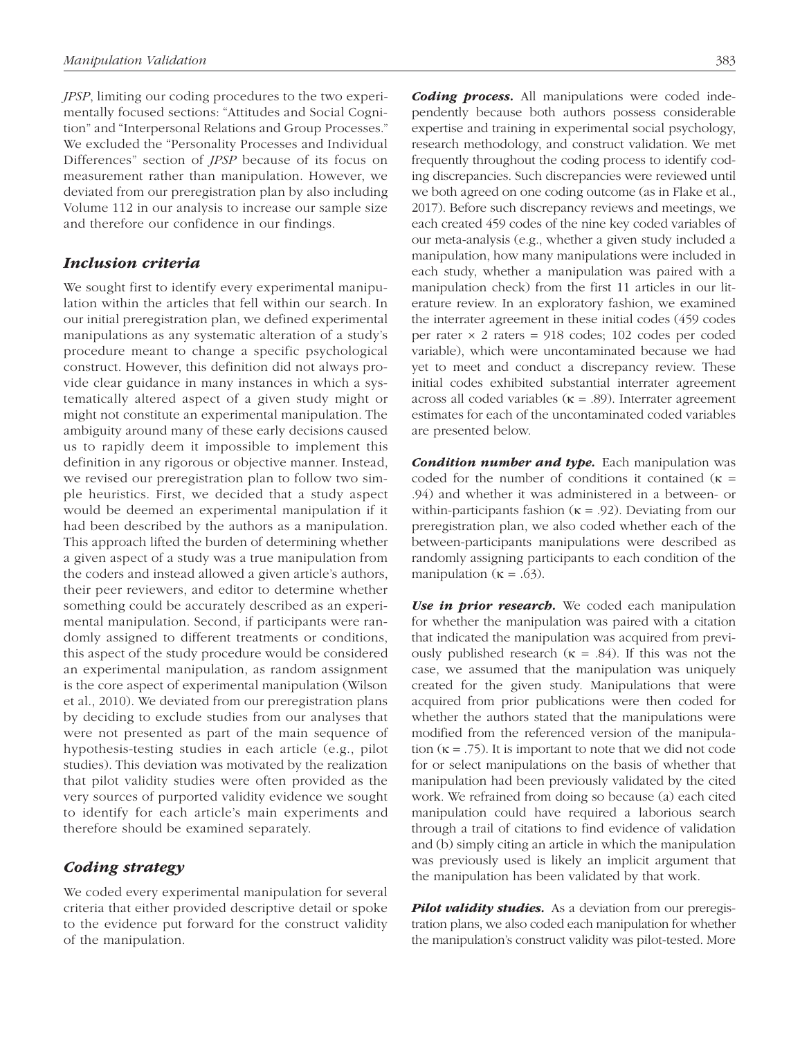*JPSP*, limiting our coding procedures to the two experimentally focused sections: "Attitudes and Social Cognition" and "Interpersonal Relations and Group Processes." We excluded the "Personality Processes and Individual Differences" section of *JPSP* because of its focus on measurement rather than manipulation. However, we deviated from our preregistration plan by also including Volume 112 in our analysis to increase our sample size and therefore our confidence in our findings.

#### *Inclusion criteria*

We sought first to identify every experimental manipulation within the articles that fell within our search. In our initial preregistration plan, we defined experimental manipulations as any systematic alteration of a study's procedure meant to change a specific psychological construct. However, this definition did not always provide clear guidance in many instances in which a systematically altered aspect of a given study might or might not constitute an experimental manipulation. The ambiguity around many of these early decisions caused us to rapidly deem it impossible to implement this definition in any rigorous or objective manner. Instead, we revised our preregistration plan to follow two simple heuristics. First, we decided that a study aspect would be deemed an experimental manipulation if it had been described by the authors as a manipulation. This approach lifted the burden of determining whether a given aspect of a study was a true manipulation from the coders and instead allowed a given article's authors, their peer reviewers, and editor to determine whether something could be accurately described as an experimental manipulation. Second, if participants were randomly assigned to different treatments or conditions, this aspect of the study procedure would be considered an experimental manipulation, as random assignment is the core aspect of experimental manipulation (Wilson et al., 2010). We deviated from our preregistration plans by deciding to exclude studies from our analyses that were not presented as part of the main sequence of hypothesis-testing studies in each article (e.g., pilot studies). This deviation was motivated by the realization that pilot validity studies were often provided as the very sources of purported validity evidence we sought to identify for each article's main experiments and therefore should be examined separately.

#### *Coding strategy*

We coded every experimental manipulation for several criteria that either provided descriptive detail or spoke to the evidence put forward for the construct validity of the manipulation.

*Coding process.* All manipulations were coded independently because both authors possess considerable expertise and training in experimental social psychology, research methodology, and construct validation. We met frequently throughout the coding process to identify coding discrepancies. Such discrepancies were reviewed until we both agreed on one coding outcome (as in Flake et al., 2017). Before such discrepancy reviews and meetings, we each created 459 codes of the nine key coded variables of our meta-analysis (e.g., whether a given study included a manipulation, how many manipulations were included in each study, whether a manipulation was paired with a manipulation check) from the first 11 articles in our literature review. In an exploratory fashion, we examined the interrater agreement in these initial codes (459 codes per rater  $\times$  2 raters = 918 codes; 102 codes per coded variable), which were uncontaminated because we had yet to meet and conduct a discrepancy review. These initial codes exhibited substantial interrater agreement across all coded variables ( $\kappa$  = .89). Interrater agreement estimates for each of the uncontaminated coded variables are presented below.

*Condition number and type.* Each manipulation was coded for the number of conditions it contained ( $\kappa$  = .94) and whether it was administered in a between- or within-participants fashion ( $\kappa$  = .92). Deviating from our preregistration plan, we also coded whether each of the between-participants manipulations were described as randomly assigning participants to each condition of the manipulation ( $\kappa = .63$ ).

*Use in prior research.* We coded each manipulation for whether the manipulation was paired with a citation that indicated the manipulation was acquired from previously published research ( $\kappa = .84$ ). If this was not the case, we assumed that the manipulation was uniquely created for the given study. Manipulations that were acquired from prior publications were then coded for whether the authors stated that the manipulations were modified from the referenced version of the manipulation ( $\kappa$  = .75). It is important to note that we did not code for or select manipulations on the basis of whether that manipulation had been previously validated by the cited work. We refrained from doing so because (a) each cited manipulation could have required a laborious search through a trail of citations to find evidence of validation and (b) simply citing an article in which the manipulation was previously used is likely an implicit argument that the manipulation has been validated by that work.

*Pilot validity studies.* As a deviation from our preregistration plans, we also coded each manipulation for whether the manipulation's construct validity was pilot-tested. More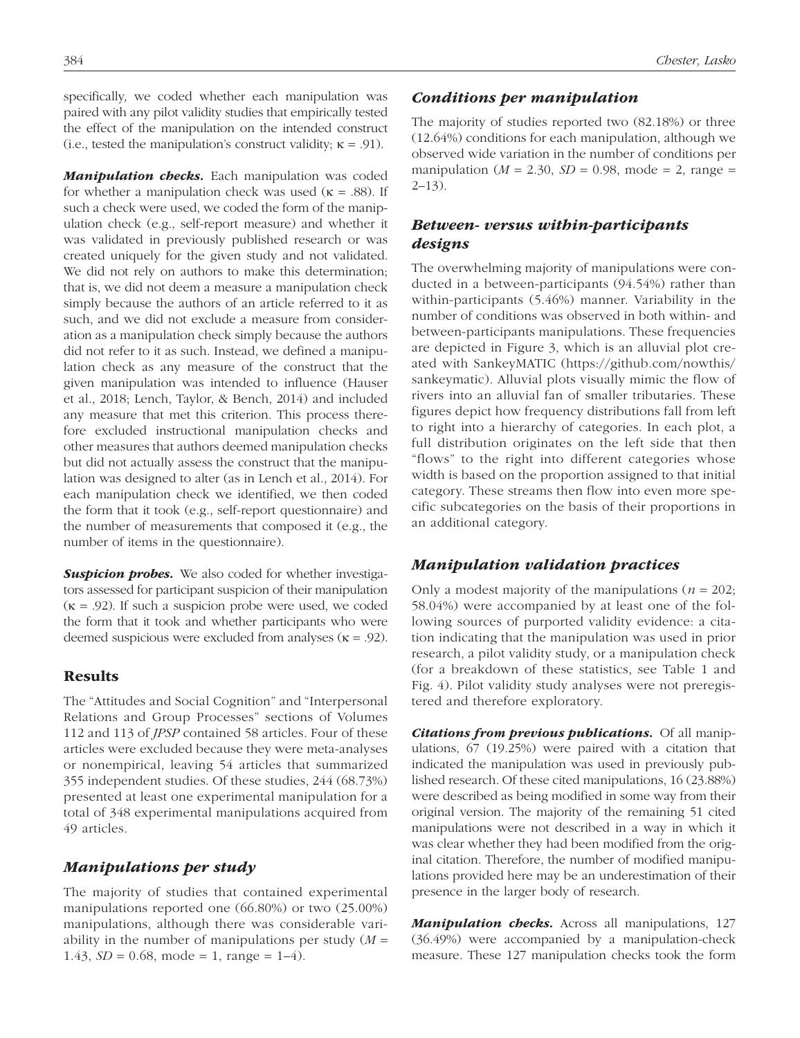specifically, we coded whether each manipulation was paired with any pilot validity studies that empirically tested the effect of the manipulation on the intended construct (i.e., tested the manipulation's construct validity;  $\kappa = .91$ ).

*Manipulation checks.* Each manipulation was coded for whether a manipulation check was used ( $\kappa = .88$ ). If such a check were used, we coded the form of the manipulation check (e.g., self-report measure) and whether it was validated in previously published research or was created uniquely for the given study and not validated. We did not rely on authors to make this determination; that is, we did not deem a measure a manipulation check simply because the authors of an article referred to it as such, and we did not exclude a measure from consideration as a manipulation check simply because the authors did not refer to it as such. Instead, we defined a manipulation check as any measure of the construct that the given manipulation was intended to influence (Hauser et al., 2018; Lench, Taylor, & Bench, 2014) and included any measure that met this criterion. This process therefore excluded instructional manipulation checks and other measures that authors deemed manipulation checks but did not actually assess the construct that the manipulation was designed to alter (as in Lench et al., 2014). For each manipulation check we identified, we then coded the form that it took (e.g., self-report questionnaire) and the number of measurements that composed it (e.g., the number of items in the questionnaire).

**Suspicion probes.** We also coded for whether investigators assessed for participant suspicion of their manipulation  $(\kappa = .92)$ . If such a suspicion probe were used, we coded the form that it took and whether participants who were deemed suspicious were excluded from analyses ( $\kappa$  = .92).

## **Results**

The "Attitudes and Social Cognition" and "Interpersonal Relations and Group Processes" sections of Volumes 112 and 113 of *JPSP* contained 58 articles. Four of these articles were excluded because they were meta-analyses or nonempirical, leaving 54 articles that summarized 355 independent studies. Of these studies, 244 (68.73%) presented at least one experimental manipulation for a total of 348 experimental manipulations acquired from 49 articles.

#### *Manipulations per study*

The majority of studies that contained experimental manipulations reported one (66.80%) or two (25.00%) manipulations, although there was considerable variability in the number of manipulations per study (*M* = 1.43,  $SD = 0.68$ , mode = 1, range = 1–4).

#### *Conditions per manipulation*

The majority of studies reported two (82.18%) or three (12.64%) conditions for each manipulation, although we observed wide variation in the number of conditions per manipulation ( $M = 2.30$ ,  $SD = 0.98$ , mode = 2, range = 2–13).

## *Between- versus within-participants designs*

The overwhelming majority of manipulations were conducted in a between-participants (94.54%) rather than within-participants (5.46%) manner. Variability in the number of conditions was observed in both within- and between-participants manipulations. These frequencies are depicted in Figure 3, which is an alluvial plot created with SankeyMATIC ([https://github.com/nowthis/](https://github.com/nowthis/sankeymatic) [sankeymatic\)](https://github.com/nowthis/sankeymatic). Alluvial plots visually mimic the flow of rivers into an alluvial fan of smaller tributaries. These figures depict how frequency distributions fall from left to right into a hierarchy of categories. In each plot, a full distribution originates on the left side that then "flows" to the right into different categories whose width is based on the proportion assigned to that initial category. These streams then flow into even more specific subcategories on the basis of their proportions in an additional category.

## *Manipulation validation practices*

Only a modest majority of the manipulations (*n* = 202; 58.04%) were accompanied by at least one of the following sources of purported validity evidence: a citation indicating that the manipulation was used in prior research, a pilot validity study, or a manipulation check (for a breakdown of these statistics, see Table 1 and Fig. 4). Pilot validity study analyses were not preregistered and therefore exploratory.

*Citations from previous publications.* Of all manipulations, 67 (19.25%) were paired with a citation that indicated the manipulation was used in previously published research. Of these cited manipulations, 16 (23.88%) were described as being modified in some way from their original version. The majority of the remaining 51 cited manipulations were not described in a way in which it was clear whether they had been modified from the original citation. Therefore, the number of modified manipulations provided here may be an underestimation of their presence in the larger body of research.

*Manipulation checks.* Across all manipulations, 127 (36.49%) were accompanied by a manipulation-check measure. These 127 manipulation checks took the form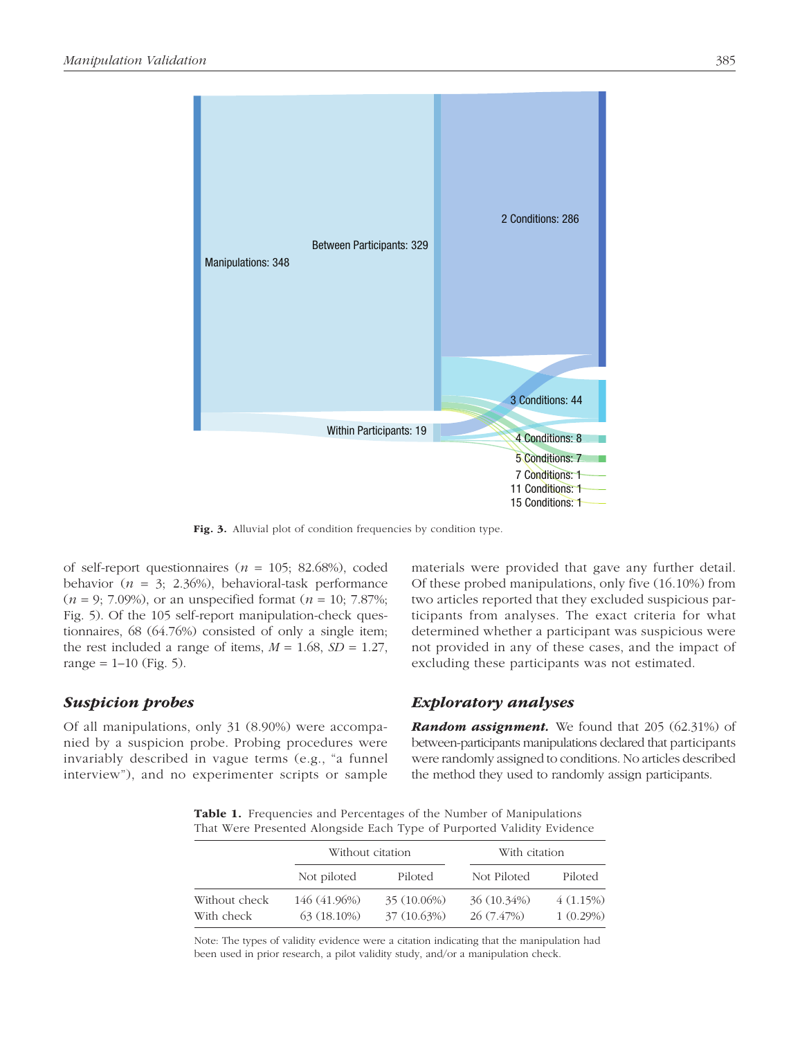

Fig. 3. Alluvial plot of condition frequencies by condition type.

of self-report questionnaires (*n* = 105; 82.68%), coded behavior (*n* = 3; 2.36%), behavioral-task performance (*n* = 9; 7.09%), or an unspecified format (*n* = 10; 7.87%; Fig. 5). Of the 105 self-report manipulation-check questionnaires, 68 (64.76%) consisted of only a single item; the rest included a range of items,  $M = 1.68$ ,  $SD = 1.27$ ,  $range = 1 - 10$  (Fig. 5).

## *Suspicion probes*

Of all manipulations, only 31 (8.90%) were accompanied by a suspicion probe. Probing procedures were invariably described in vague terms (e.g., "a funnel interview"), and no experimenter scripts or sample materials were provided that gave any further detail. Of these probed manipulations, only five (16.10%) from two articles reported that they excluded suspicious participants from analyses. The exact criteria for what determined whether a participant was suspicious were not provided in any of these cases, and the impact of excluding these participants was not estimated.

## *Exploratory analyses*

*Random assignment.* We found that 205 (62.31%) of between-participants manipulations declared that participants were randomly assigned to conditions. No articles described the method they used to randomly assign participants.

Table 1. Frequencies and Percentages of the Number of Manipulations That Were Presented Alongside Each Type of Purported Validity Evidence

|                             | Without citation              |                           | With citation            |                         |
|-----------------------------|-------------------------------|---------------------------|--------------------------|-------------------------|
|                             | Not piloted                   | Piloted                   | Not Piloted              | Piloted                 |
| Without check<br>With check | 146 (41.96%)<br>$63(18.10\%)$ | 35 (10.06%)<br>37(10.63%) | 36 (10.34%)<br>26(7.47%) | 4(1.15%)<br>$1(0.29\%)$ |

Note: The types of validity evidence were a citation indicating that the manipulation had been used in prior research, a pilot validity study, and/or a manipulation check.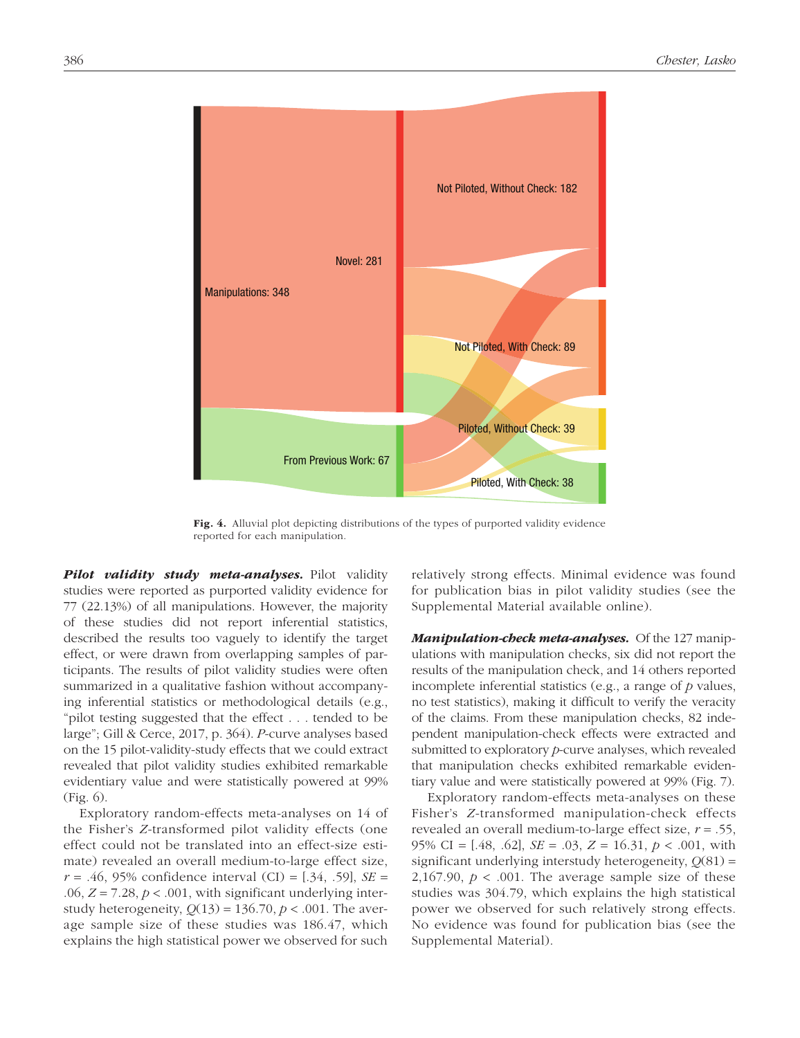

Fig. 4. Alluvial plot depicting distributions of the types of purported validity evidence reported for each manipulation.

*Pilot validity study meta-analyses.* Pilot validity studies were reported as purported validity evidence for 77 (22.13%) of all manipulations. However, the majority of these studies did not report inferential statistics, described the results too vaguely to identify the target effect, or were drawn from overlapping samples of participants. The results of pilot validity studies were often summarized in a qualitative fashion without accompanying inferential statistics or methodological details (e.g., "pilot testing suggested that the effect . . . tended to be large"; Gill & Cerce, 2017, p. 364). *P*-curve analyses based on the 15 pilot-validity-study effects that we could extract revealed that pilot validity studies exhibited remarkable evidentiary value and were statistically powered at 99% (Fig. 6).

Exploratory random-effects meta-analyses on 14 of the Fisher's *Z*-transformed pilot validity effects (one effect could not be translated into an effect-size estimate) revealed an overall medium-to-large effect size, *r* = .46, 95% confidence interval (CI) = [.34, .59], *SE* =  $.06, Z = 7.28, p < .001$ , with significant underlying interstudy heterogeneity,  $Q(13) = 136.70$ ,  $p < .001$ . The average sample size of these studies was 186.47, which explains the high statistical power we observed for such relatively strong effects. Minimal evidence was found for publication bias in pilot validity studies (see the Supplemental Material available online).

*Manipulation-check meta-analyses.* Of the 127 manipulations with manipulation checks, six did not report the results of the manipulation check, and 14 others reported incomplete inferential statistics (e.g., a range of *p* values, no test statistics), making it difficult to verify the veracity of the claims. From these manipulation checks, 82 independent manipulation-check effects were extracted and submitted to exploratory *p*-curve analyses, which revealed that manipulation checks exhibited remarkable evidentiary value and were statistically powered at 99% (Fig. 7).

Exploratory random-effects meta-analyses on these Fisher's *Z*-transformed manipulation-check effects revealed an overall medium-to-large effect size, *r* = .55, 95% CI = [.48, .62], *SE* = .03, *Z* = 16.31, *p* < .001, with significant underlying interstudy heterogeneity, *Q*(81) = 2,167.90,  $p < .001$ . The average sample size of these studies was 304.79, which explains the high statistical power we observed for such relatively strong effects. No evidence was found for publication bias (see the Supplemental Material).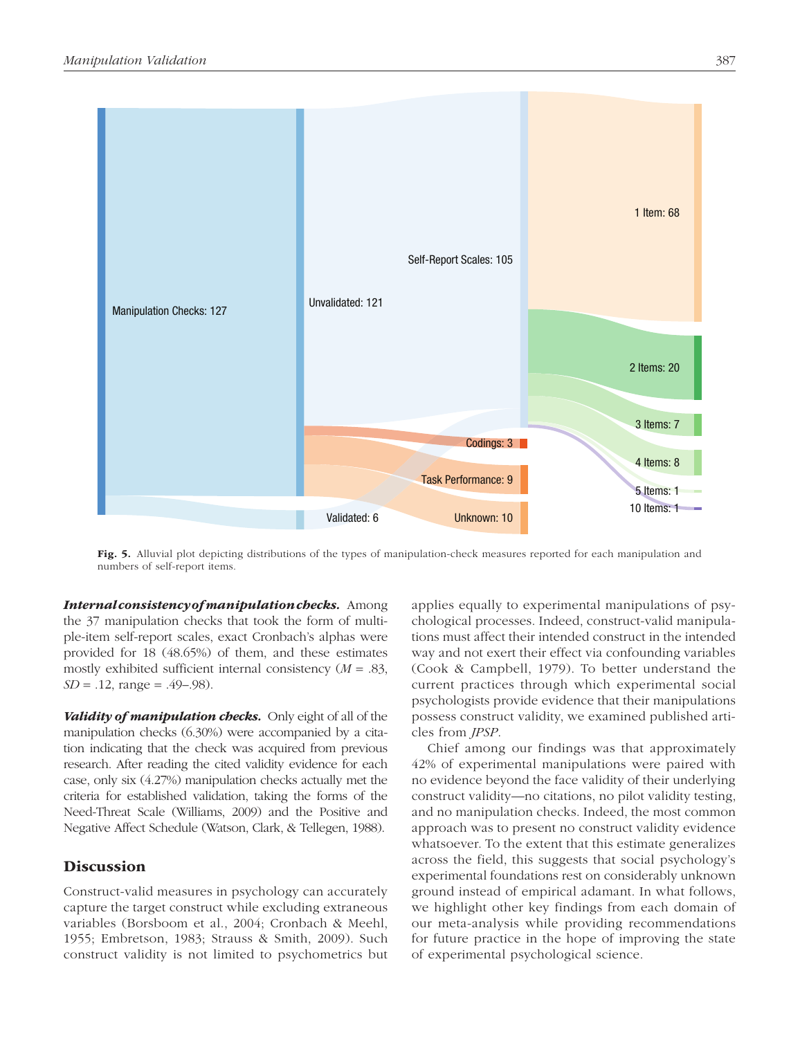

Fig. 5. Alluvial plot depicting distributions of the types of manipulation-check measures reported for each manipulation and numbers of self-report items.

*Internal consistency of manipulation checks.* Among the 37 manipulation checks that took the form of multiple-item self-report scales, exact Cronbach's alphas were provided for 18 (48.65%) of them, and these estimates mostly exhibited sufficient internal consistency (*M* = .83, *SD* = .12, range = .49–.98).

*Validity of manipulation checks.* Only eight of all of the manipulation checks (6.30%) were accompanied by a citation indicating that the check was acquired from previous research. After reading the cited validity evidence for each case, only six (4.27%) manipulation checks actually met the criteria for established validation, taking the forms of the Need-Threat Scale (Williams, 2009) and the Positive and Negative Affect Schedule (Watson, Clark, & Tellegen, 1988).

## **Discussion**

Construct-valid measures in psychology can accurately capture the target construct while excluding extraneous variables (Borsboom et al., 2004; Cronbach & Meehl, 1955; Embretson, 1983; Strauss & Smith, 2009). Such construct validity is not limited to psychometrics but applies equally to experimental manipulations of psychological processes. Indeed, construct-valid manipulations must affect their intended construct in the intended way and not exert their effect via confounding variables (Cook & Campbell, 1979). To better understand the current practices through which experimental social psychologists provide evidence that their manipulations possess construct validity, we examined published articles from *JPSP*.

Chief among our findings was that approximately 42% of experimental manipulations were paired with no evidence beyond the face validity of their underlying construct validity—no citations, no pilot validity testing, and no manipulation checks. Indeed, the most common approach was to present no construct validity evidence whatsoever. To the extent that this estimate generalizes across the field, this suggests that social psychology's experimental foundations rest on considerably unknown ground instead of empirical adamant. In what follows, we highlight other key findings from each domain of our meta-analysis while providing recommendations for future practice in the hope of improving the state of experimental psychological science.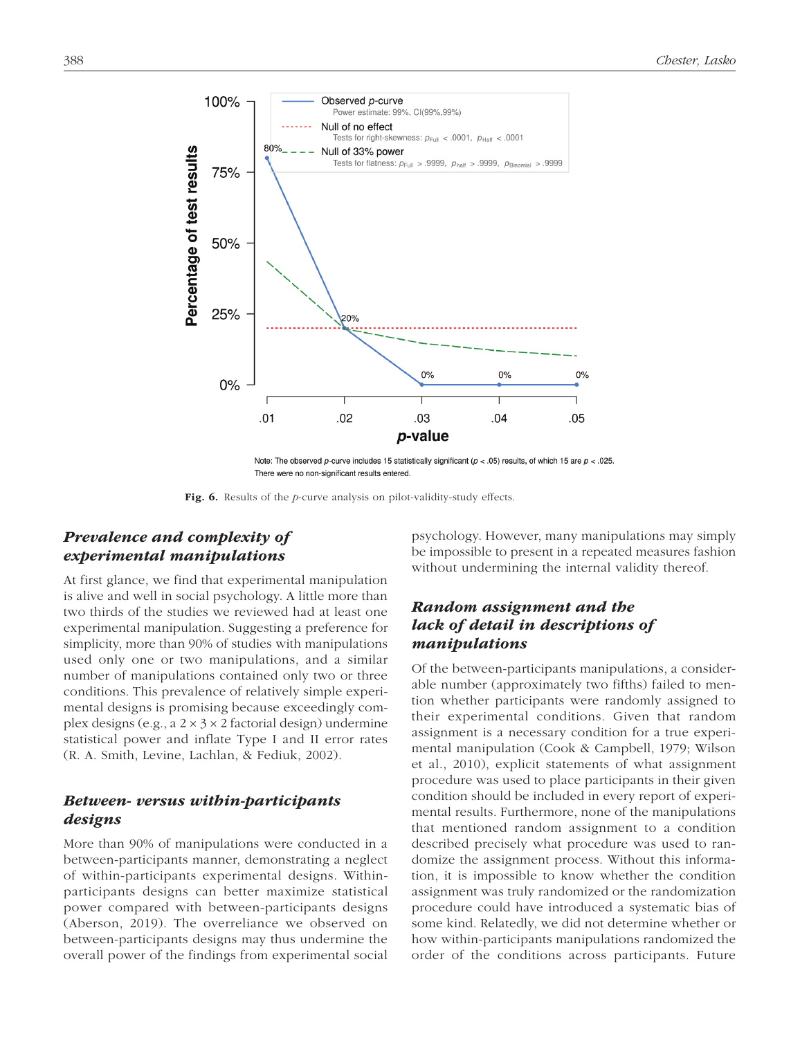

Note: The observed p-curve includes 15 statistically significant ( $p < .05$ ) results, of which 15 are  $p < .025$ . There were no non-significant results entered.

Fig. 6. Results of the *p*-curve analysis on pilot-validity-study effects.

# *Prevalence and complexity of experimental manipulations*

At first glance, we find that experimental manipulation is alive and well in social psychology. A little more than two thirds of the studies we reviewed had at least one experimental manipulation. Suggesting a preference for simplicity, more than 90% of studies with manipulations used only one or two manipulations, and a similar number of manipulations contained only two or three conditions. This prevalence of relatively simple experimental designs is promising because exceedingly complex designs (e.g.,  $a$  2  $\times$  3  $\times$  2 factorial design) undermine statistical power and inflate Type I and II error rates (R. A. Smith, Levine, Lachlan, & Fediuk, 2002).

# *Between- versus within-participants designs*

More than 90% of manipulations were conducted in a between-participants manner, demonstrating a neglect of within-participants experimental designs. Withinparticipants designs can better maximize statistical power compared with between-participants designs (Aberson, 2019). The overreliance we observed on between-participants designs may thus undermine the overall power of the findings from experimental social psychology. However, many manipulations may simply be impossible to present in a repeated measures fashion without undermining the internal validity thereof.

# *Random assignment and the lack of detail in descriptions of manipulations*

Of the between-participants manipulations, a considerable number (approximately two fifths) failed to mention whether participants were randomly assigned to their experimental conditions. Given that random assignment is a necessary condition for a true experimental manipulation (Cook & Campbell, 1979; Wilson et al., 2010), explicit statements of what assignment procedure was used to place participants in their given condition should be included in every report of experimental results. Furthermore, none of the manipulations that mentioned random assignment to a condition described precisely what procedure was used to randomize the assignment process. Without this information, it is impossible to know whether the condition assignment was truly randomized or the randomization procedure could have introduced a systematic bias of some kind. Relatedly, we did not determine whether or how within-participants manipulations randomized the order of the conditions across participants. Future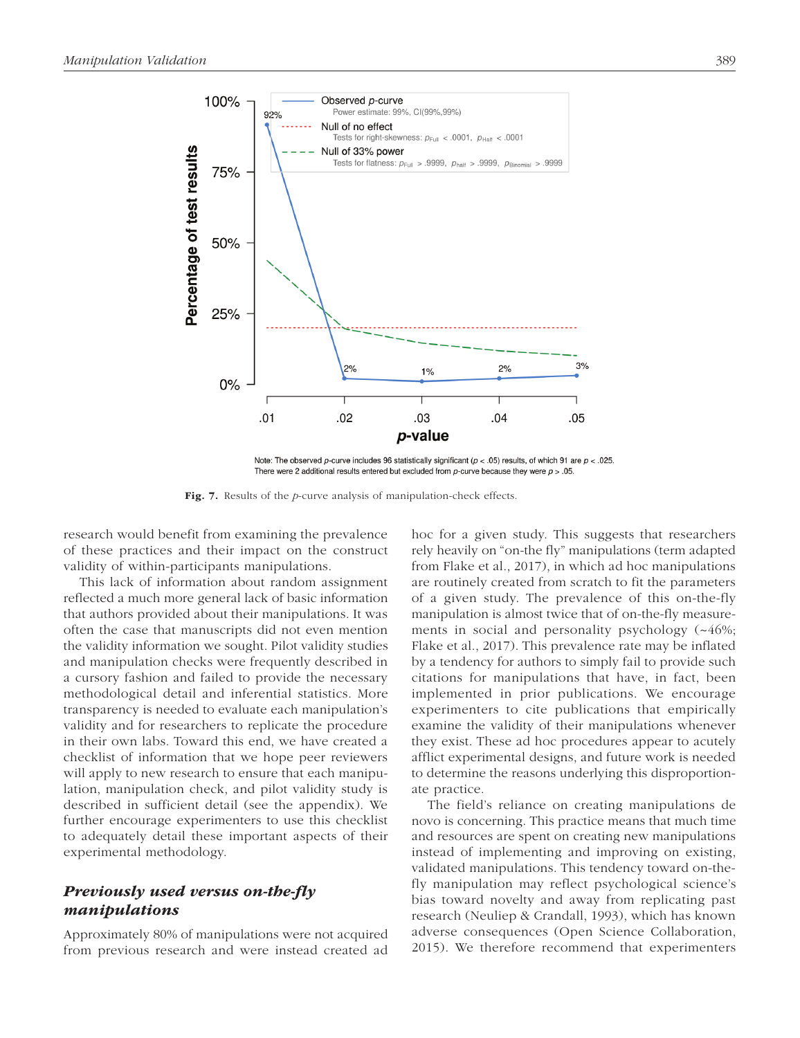

Note: The observed p-curve includes 96 statistically significant ( $p < .05$ ) results, of which 91 are  $p < .025$ . There were 2 additional results entered but excluded from  $p$ -curve because they were  $p > .05$ 

Fig. 7. Results of the *p*-curve analysis of manipulation-check effects.

research would benefit from examining the prevalence of these practices and their impact on the construct validity of within-participants manipulations.

This lack of information about random assignment reflected a much more general lack of basic information that authors provided about their manipulations. It was often the case that manuscripts did not even mention the validity information we sought. Pilot validity studies and manipulation checks were frequently described in a cursory fashion and failed to provide the necessary methodological detail and inferential statistics. More transparency is needed to evaluate each manipulation's validity and for researchers to replicate the procedure in their own labs. Toward this end, we have created a checklist of information that we hope peer reviewers will apply to new research to ensure that each manipulation, manipulation check, and pilot validity study is described in sufficient detail (see the appendix). We further encourage experimenters to use this checklist to adequately detail these important aspects of their experimental methodology.

## *Previously used versus on-the-fly manipulations*

Approximately 80% of manipulations were not acquired from previous research and were instead created ad hoc for a given study. This suggests that researchers rely heavily on "on-the fly" manipulations (term adapted from Flake et al., 2017), in which ad hoc manipulations are routinely created from scratch to fit the parameters of a given study. The prevalence of this on-the-fly manipulation is almost twice that of on-the-fly measurements in social and personality psychology (~46%; Flake et al., 2017). This prevalence rate may be inflated by a tendency for authors to simply fail to provide such citations for manipulations that have, in fact, been implemented in prior publications. We encourage experimenters to cite publications that empirically examine the validity of their manipulations whenever they exist. These ad hoc procedures appear to acutely afflict experimental designs, and future work is needed to determine the reasons underlying this disproportionate practice.

The field's reliance on creating manipulations de novo is concerning. This practice means that much time and resources are spent on creating new manipulations instead of implementing and improving on existing, validated manipulations. This tendency toward on-thefly manipulation may reflect psychological science's bias toward novelty and away from replicating past research (Neuliep & Crandall, 1993), which has known adverse consequences (Open Science Collaboration, 2015). We therefore recommend that experimenters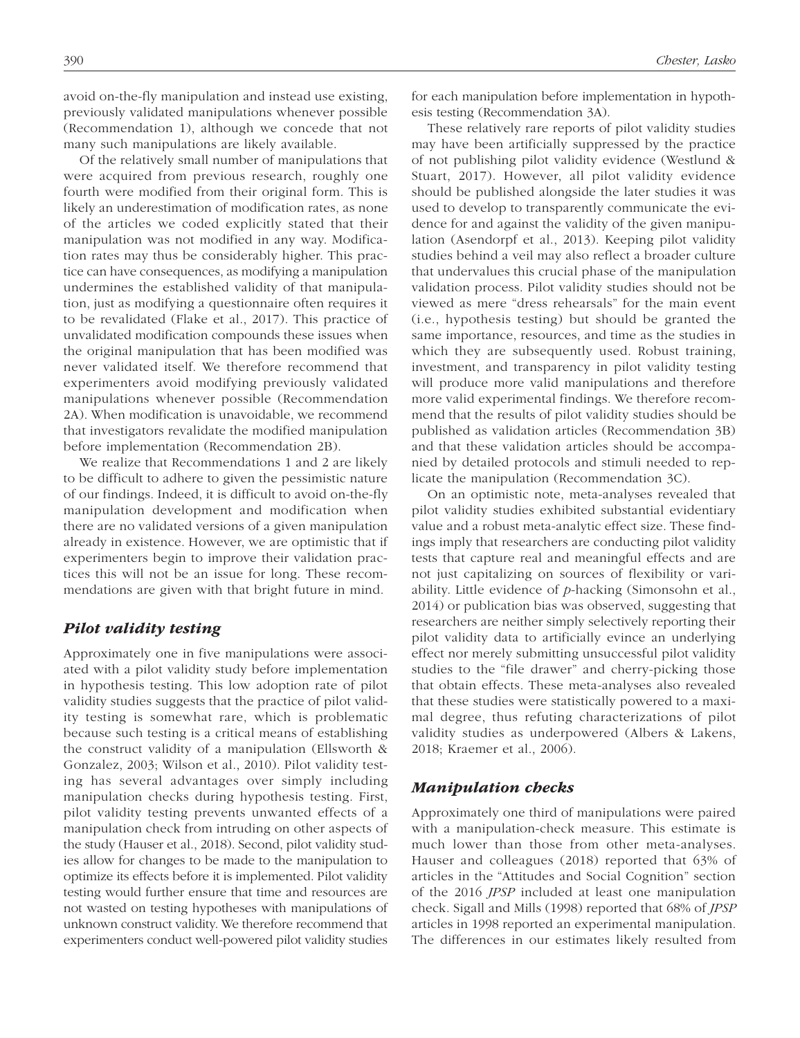avoid on-the-fly manipulation and instead use existing, previously validated manipulations whenever possible (Recommendation 1), although we concede that not many such manipulations are likely available.

Of the relatively small number of manipulations that were acquired from previous research, roughly one fourth were modified from their original form. This is likely an underestimation of modification rates, as none of the articles we coded explicitly stated that their manipulation was not modified in any way. Modification rates may thus be considerably higher. This practice can have consequences, as modifying a manipulation undermines the established validity of that manipulation, just as modifying a questionnaire often requires it to be revalidated (Flake et al., 2017). This practice of unvalidated modification compounds these issues when the original manipulation that has been modified was never validated itself. We therefore recommend that experimenters avoid modifying previously validated manipulations whenever possible (Recommendation 2A). When modification is unavoidable, we recommend that investigators revalidate the modified manipulation before implementation (Recommendation 2B).

We realize that Recommendations 1 and 2 are likely to be difficult to adhere to given the pessimistic nature of our findings. Indeed, it is difficult to avoid on-the-fly manipulation development and modification when there are no validated versions of a given manipulation already in existence. However, we are optimistic that if experimenters begin to improve their validation practices this will not be an issue for long. These recommendations are given with that bright future in mind.

## *Pilot validity testing*

Approximately one in five manipulations were associated with a pilot validity study before implementation in hypothesis testing. This low adoption rate of pilot validity studies suggests that the practice of pilot validity testing is somewhat rare, which is problematic because such testing is a critical means of establishing the construct validity of a manipulation (Ellsworth & Gonzalez, 2003; Wilson et al., 2010). Pilot validity testing has several advantages over simply including manipulation checks during hypothesis testing. First, pilot validity testing prevents unwanted effects of a manipulation check from intruding on other aspects of the study (Hauser et al., 2018). Second, pilot validity studies allow for changes to be made to the manipulation to optimize its effects before it is implemented. Pilot validity testing would further ensure that time and resources are not wasted on testing hypotheses with manipulations of unknown construct validity. We therefore recommend that experimenters conduct well-powered pilot validity studies for each manipulation before implementation in hypothesis testing (Recommendation 3A).

These relatively rare reports of pilot validity studies may have been artificially suppressed by the practice of not publishing pilot validity evidence (Westlund & Stuart, 2017). However, all pilot validity evidence should be published alongside the later studies it was used to develop to transparently communicate the evidence for and against the validity of the given manipulation (Asendorpf et al., 2013). Keeping pilot validity studies behind a veil may also reflect a broader culture that undervalues this crucial phase of the manipulation validation process. Pilot validity studies should not be viewed as mere "dress rehearsals" for the main event (i.e., hypothesis testing) but should be granted the same importance, resources, and time as the studies in which they are subsequently used. Robust training, investment, and transparency in pilot validity testing will produce more valid manipulations and therefore more valid experimental findings. We therefore recommend that the results of pilot validity studies should be published as validation articles (Recommendation 3B) and that these validation articles should be accompanied by detailed protocols and stimuli needed to replicate the manipulation (Recommendation 3C).

On an optimistic note, meta-analyses revealed that pilot validity studies exhibited substantial evidentiary value and a robust meta-analytic effect size. These findings imply that researchers are conducting pilot validity tests that capture real and meaningful effects and are not just capitalizing on sources of flexibility or variability. Little evidence of *p*-hacking (Simonsohn et al., 2014) or publication bias was observed, suggesting that researchers are neither simply selectively reporting their pilot validity data to artificially evince an underlying effect nor merely submitting unsuccessful pilot validity studies to the "file drawer" and cherry-picking those that obtain effects. These meta-analyses also revealed that these studies were statistically powered to a maximal degree, thus refuting characterizations of pilot validity studies as underpowered (Albers & Lakens, 2018; Kraemer et al., 2006).

#### *Manipulation checks*

Approximately one third of manipulations were paired with a manipulation-check measure. This estimate is much lower than those from other meta-analyses. Hauser and colleagues (2018) reported that 63% of articles in the "Attitudes and Social Cognition" section of the 2016 *JPSP* included at least one manipulation check. Sigall and Mills (1998) reported that 68% of *JPSP* articles in 1998 reported an experimental manipulation. The differences in our estimates likely resulted from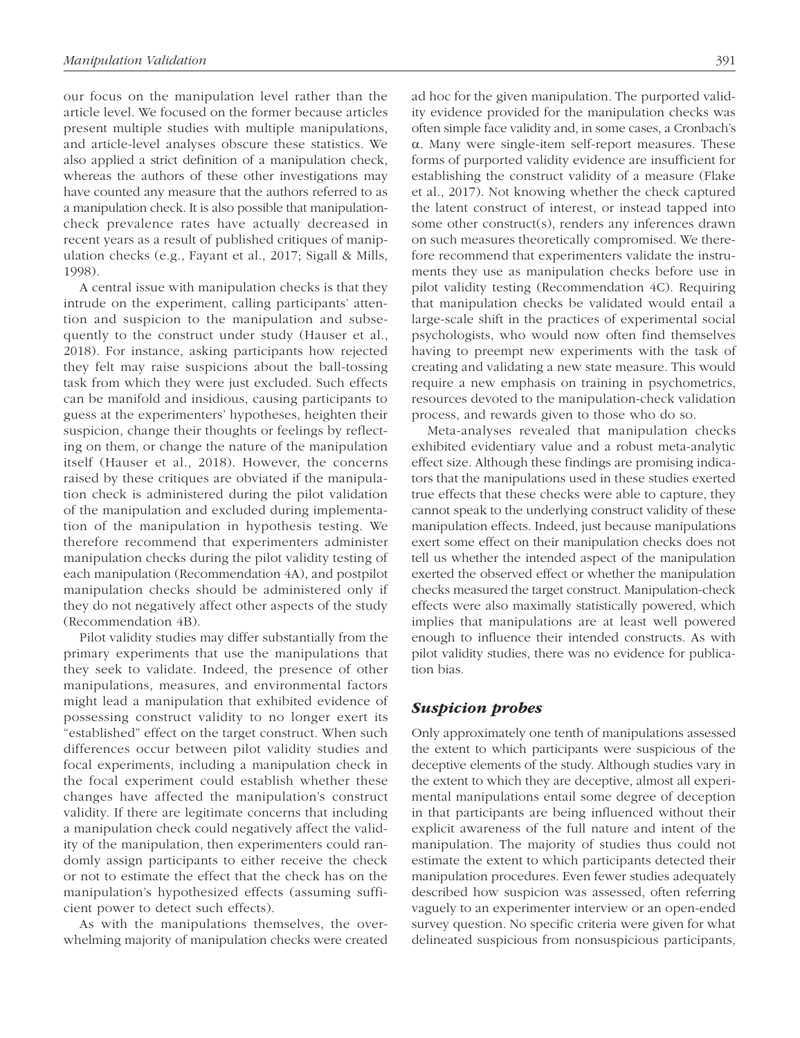our focus on the manipulation level rather than the article level. We focused on the former because articles present multiple studies with multiple manipulations, and article-level analyses obscure these statistics. We also applied a strict definition of a manipulation check, whereas the authors of these other investigations may have counted any measure that the authors referred to as a manipulation check. It is also possible that manipulationcheck prevalence rates have actually decreased in recent years as a result of published critiques of manipulation checks (e.g., Fayant et al., 2017; Sigall & Mills, 1998).

A central issue with manipulation checks is that they intrude on the experiment, calling participants' attention and suspicion to the manipulation and subsequently to the construct under study (Hauser et al., 2018). For instance, asking participants how rejected they felt may raise suspicions about the ball-tossing task from which they were just excluded. Such effects can be manifold and insidious, causing participants to guess at the experimenters' hypotheses, heighten their suspicion, change their thoughts or feelings by reflecting on them, or change the nature of the manipulation itself (Hauser et al., 2018). However, the concerns raised by these critiques are obviated if the manipulation check is administered during the pilot validation of the manipulation and excluded during implementation of the manipulation in hypothesis testing. We therefore recommend that experimenters administer manipulation checks during the pilot validity testing of each manipulation (Recommendation 4A), and postpilot manipulation checks should be administered only if they do not negatively affect other aspects of the study (Recommendation 4B).

Pilot validity studies may differ substantially from the primary experiments that use the manipulations that they seek to validate. Indeed, the presence of other manipulations, measures, and environmental factors might lead a manipulation that exhibited evidence of possessing construct validity to no longer exert its "established" effect on the target construct. When such differences occur between pilot validity studies and focal experiments, including a manipulation check in the focal experiment could establish whether these changes have affected the manipulation's construct validity. If there are legitimate concerns that including a manipulation check could negatively affect the validity of the manipulation, then experimenters could randomly assign participants to either receive the check or not to estimate the effect that the check has on the manipulation's hypothesized effects (assuming sufficient power to detect such effects).

As with the manipulations themselves, the overwhelming majority of manipulation checks were created ad hoc for the given manipulation. The purported validity evidence provided for the manipulation checks was often simple face validity and, in some cases, a Cronbach's α. Many were single-item self-report measures. These forms of purported validity evidence are insufficient for establishing the construct validity of a measure (Flake et al., 2017). Not knowing whether the check captured the latent construct of interest, or instead tapped into some other construct(s), renders any inferences drawn on such measures theoretically compromised. We therefore recommend that experimenters validate the instruments they use as manipulation checks before use in pilot validity testing (Recommendation 4C). Requiring that manipulation checks be validated would entail a large-scale shift in the practices of experimental social psychologists, who would now often find themselves having to preempt new experiments with the task of creating and validating a new state measure. This would require a new emphasis on training in psychometrics, resources devoted to the manipulation-check validation process, and rewards given to those who do so.

Meta-analyses revealed that manipulation checks exhibited evidentiary value and a robust meta-analytic effect size. Although these findings are promising indicators that the manipulations used in these studies exerted true effects that these checks were able to capture, they cannot speak to the underlying construct validity of these manipulation effects. Indeed, just because manipulations exert some effect on their manipulation checks does not tell us whether the intended aspect of the manipulation exerted the observed effect or whether the manipulation checks measured the target construct. Manipulation-check effects were also maximally statistically powered, which implies that manipulations are at least well powered enough to influence their intended constructs. As with pilot validity studies, there was no evidence for publication bias.

#### *Suspicion probes*

Only approximately one tenth of manipulations assessed the extent to which participants were suspicious of the deceptive elements of the study. Although studies vary in the extent to which they are deceptive, almost all experimental manipulations entail some degree of deception in that participants are being influenced without their explicit awareness of the full nature and intent of the manipulation. The majority of studies thus could not estimate the extent to which participants detected their manipulation procedures. Even fewer studies adequately described how suspicion was assessed, often referring vaguely to an experimenter interview or an open-ended survey question. No specific criteria were given for what delineated suspicious from nonsuspicious participants,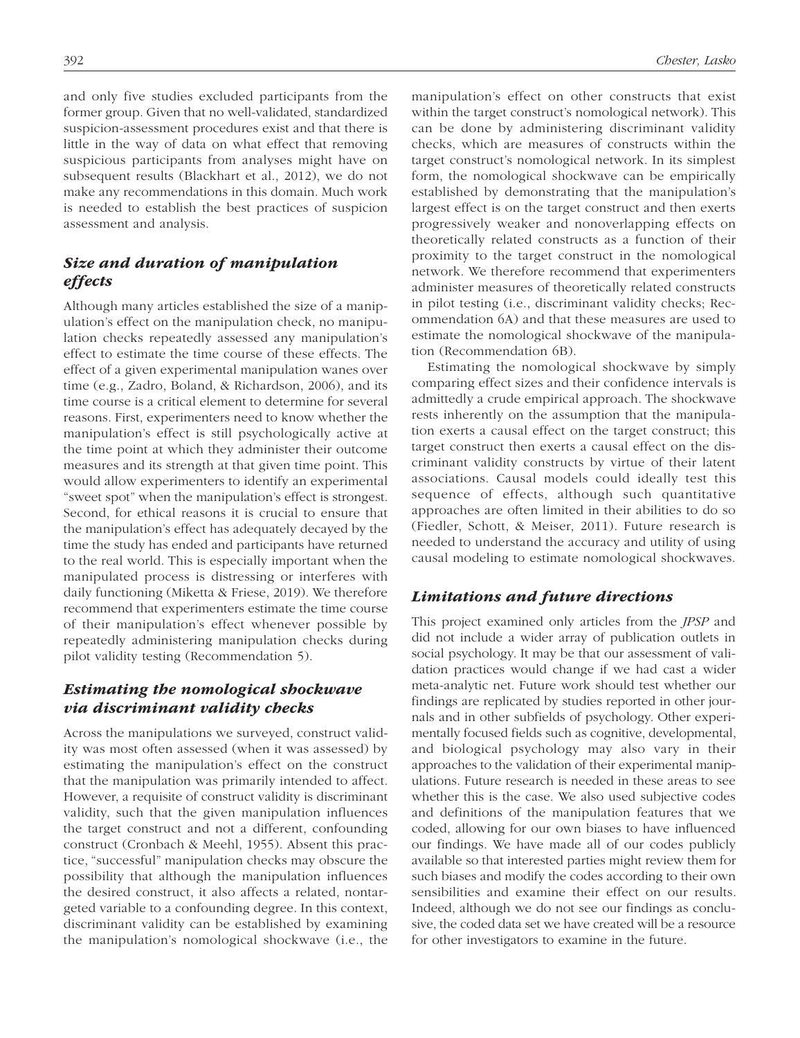and only five studies excluded participants from the former group. Given that no well-validated, standardized suspicion-assessment procedures exist and that there is little in the way of data on what effect that removing suspicious participants from analyses might have on subsequent results (Blackhart et al., 2012), we do not make any recommendations in this domain. Much work is needed to establish the best practices of suspicion assessment and analysis.

# *Size and duration of manipulation effects*

Although many articles established the size of a manipulation's effect on the manipulation check, no manipulation checks repeatedly assessed any manipulation's effect to estimate the time course of these effects. The effect of a given experimental manipulation wanes over time (e.g., Zadro, Boland, & Richardson, 2006), and its time course is a critical element to determine for several reasons. First, experimenters need to know whether the manipulation's effect is still psychologically active at the time point at which they administer their outcome measures and its strength at that given time point. This would allow experimenters to identify an experimental "sweet spot" when the manipulation's effect is strongest. Second, for ethical reasons it is crucial to ensure that the manipulation's effect has adequately decayed by the time the study has ended and participants have returned to the real world. This is especially important when the manipulated process is distressing or interferes with daily functioning (Miketta & Friese, 2019). We therefore recommend that experimenters estimate the time course of their manipulation's effect whenever possible by repeatedly administering manipulation checks during pilot validity testing (Recommendation 5).

## *Estimating the nomological shockwave via discriminant validity checks*

Across the manipulations we surveyed, construct validity was most often assessed (when it was assessed) by estimating the manipulation's effect on the construct that the manipulation was primarily intended to affect. However, a requisite of construct validity is discriminant validity, such that the given manipulation influences the target construct and not a different, confounding construct (Cronbach & Meehl, 1955). Absent this practice, "successful" manipulation checks may obscure the possibility that although the manipulation influences the desired construct, it also affects a related, nontargeted variable to a confounding degree. In this context, discriminant validity can be established by examining the manipulation's nomological shockwave (i.e., the manipulation's effect on other constructs that exist within the target construct's nomological network). This can be done by administering discriminant validity checks, which are measures of constructs within the target construct's nomological network. In its simplest form, the nomological shockwave can be empirically established by demonstrating that the manipulation's largest effect is on the target construct and then exerts progressively weaker and nonoverlapping effects on theoretically related constructs as a function of their proximity to the target construct in the nomological network. We therefore recommend that experimenters administer measures of theoretically related constructs in pilot testing (i.e., discriminant validity checks; Recommendation 6A) and that these measures are used to estimate the nomological shockwave of the manipulation (Recommendation 6B).

Estimating the nomological shockwave by simply comparing effect sizes and their confidence intervals is admittedly a crude empirical approach. The shockwave rests inherently on the assumption that the manipulation exerts a causal effect on the target construct; this target construct then exerts a causal effect on the discriminant validity constructs by virtue of their latent associations. Causal models could ideally test this sequence of effects, although such quantitative approaches are often limited in their abilities to do so (Fiedler, Schott, & Meiser, 2011). Future research is needed to understand the accuracy and utility of using causal modeling to estimate nomological shockwaves.

## *Limitations and future directions*

This project examined only articles from the *JPSP* and did not include a wider array of publication outlets in social psychology. It may be that our assessment of validation practices would change if we had cast a wider meta-analytic net. Future work should test whether our findings are replicated by studies reported in other journals and in other subfields of psychology. Other experimentally focused fields such as cognitive, developmental, and biological psychology may also vary in their approaches to the validation of their experimental manipulations. Future research is needed in these areas to see whether this is the case. We also used subjective codes and definitions of the manipulation features that we coded, allowing for our own biases to have influenced our findings. We have made all of our codes publicly available so that interested parties might review them for such biases and modify the codes according to their own sensibilities and examine their effect on our results. Indeed, although we do not see our findings as conclusive, the coded data set we have created will be a resource for other investigators to examine in the future.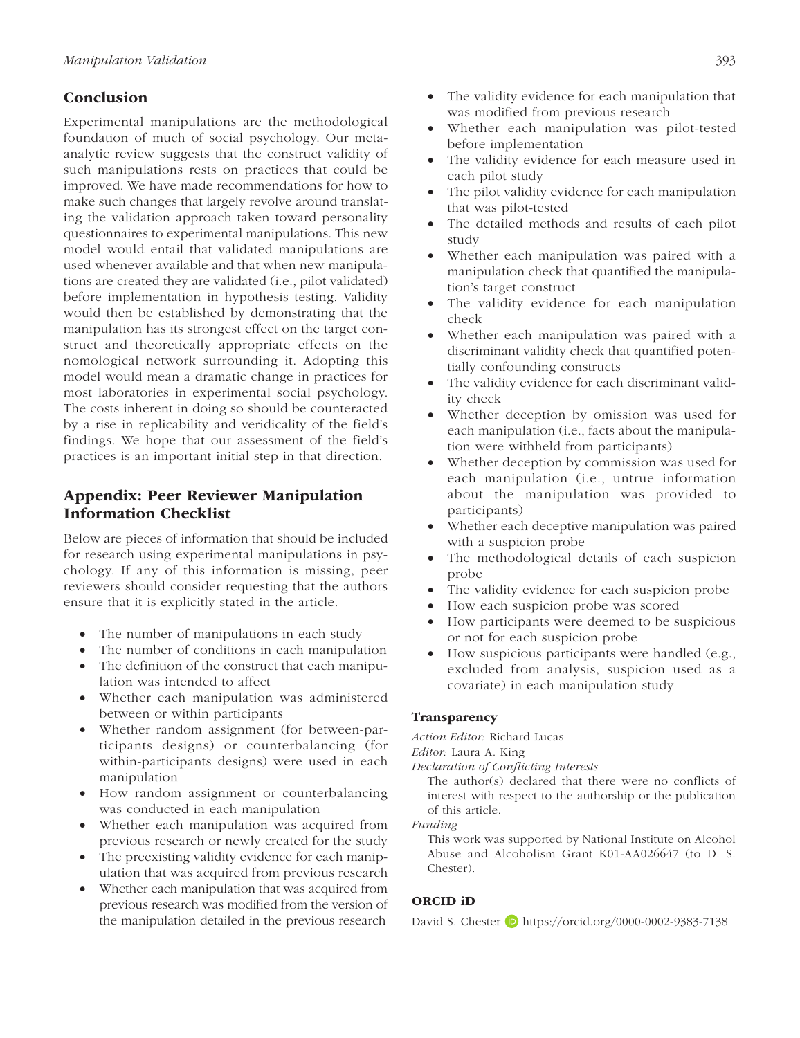## Conclusion

Experimental manipulations are the methodological foundation of much of social psychology. Our metaanalytic review suggests that the construct validity of such manipulations rests on practices that could be improved. We have made recommendations for how to make such changes that largely revolve around translating the validation approach taken toward personality questionnaires to experimental manipulations. This new model would entail that validated manipulations are used whenever available and that when new manipulations are created they are validated (i.e., pilot validated) before implementation in hypothesis testing. Validity would then be established by demonstrating that the manipulation has its strongest effect on the target construct and theoretically appropriate effects on the nomological network surrounding it. Adopting this model would mean a dramatic change in practices for most laboratories in experimental social psychology. The costs inherent in doing so should be counteracted by a rise in replicability and veridicality of the field's findings. We hope that our assessment of the field's practices is an important initial step in that direction.

# Appendix: Peer Reviewer Manipulation Information Checklist

Below are pieces of information that should be included for research using experimental manipulations in psychology. If any of this information is missing, peer reviewers should consider requesting that the authors ensure that it is explicitly stated in the article.

- The number of manipulations in each study
- The number of conditions in each manipulation
- The definition of the construct that each manipulation was intended to affect
- Whether each manipulation was administered between or within participants
- Whether random assignment (for between-participants designs) or counterbalancing (for within-participants designs) were used in each manipulation
- How random assignment or counterbalancing was conducted in each manipulation
- Whether each manipulation was acquired from previous research or newly created for the study
- The preexisting validity evidence for each manipulation that was acquired from previous research
- Whether each manipulation that was acquired from previous research was modified from the version of the manipulation detailed in the previous research
- The validity evidence for each manipulation that was modified from previous research
- Whether each manipulation was pilot-tested before implementation
- The validity evidence for each measure used in each pilot study
- The pilot validity evidence for each manipulation that was pilot-tested
- The detailed methods and results of each pilot study
- Whether each manipulation was paired with a manipulation check that quantified the manipulation's target construct
- The validity evidence for each manipulation check
- Whether each manipulation was paired with a discriminant validity check that quantified potentially confounding constructs
- The validity evidence for each discriminant validity check
- Whether deception by omission was used for each manipulation (i.e., facts about the manipulation were withheld from participants)
- Whether deception by commission was used for each manipulation (i.e., untrue information about the manipulation was provided to participants)
- Whether each deceptive manipulation was paired with a suspicion probe
- The methodological details of each suspicion probe
- The validity evidence for each suspicion probe
- How each suspicion probe was scored
- How participants were deemed to be suspicious or not for each suspicion probe
- How suspicious participants were handled (e.g., excluded from analysis, suspicion used as a covariate) in each manipulation study

#### **Transparency**

*Action Editor:* Richard Lucas

*Editor:* Laura A. King

*Declaration of Conflicting Interests*

The author(s) declared that there were no conflicts of interest with respect to the authorship or the publication of this article.

*Funding*

This work was supported by National Institute on Alcohol Abuse and Alcoholism Grant K01-AA026647 (to D. S. Chester).

## ORCID iD

David S. Chester **b** <https://orcid.org/0000-0002-9383-7138>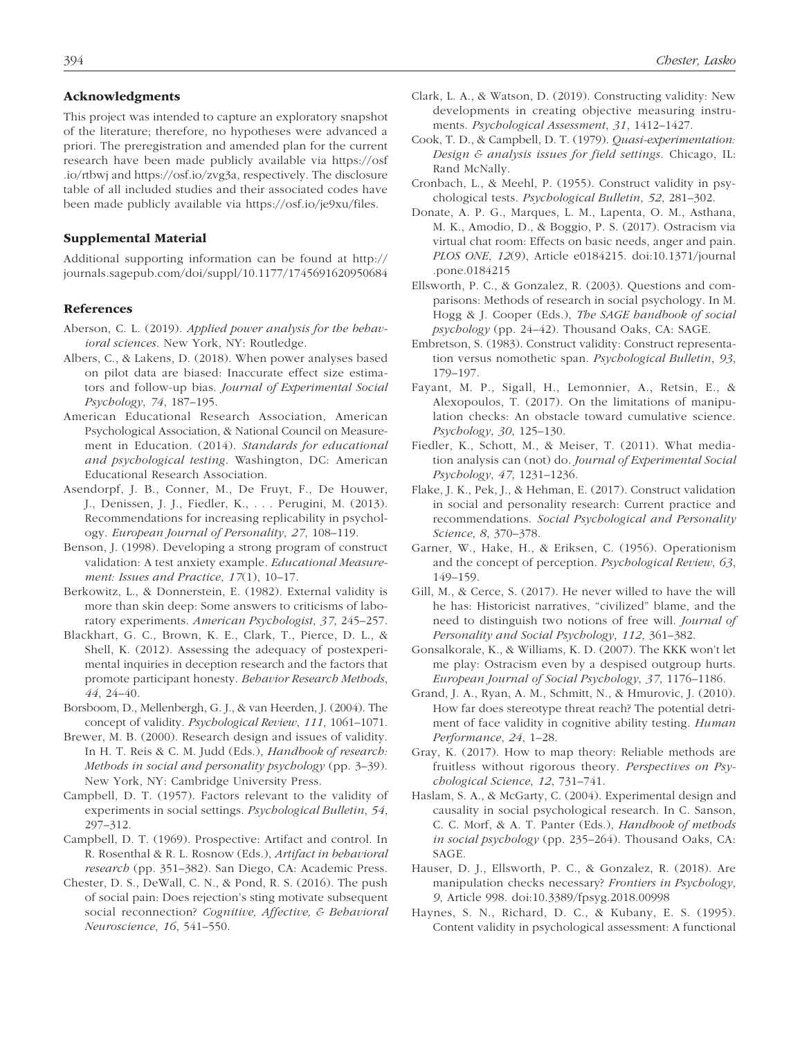#### Acknowledgments

This project was intended to capture an exploratory snapshot of the literature; therefore, no hypotheses were advanced a priori. The preregistration and amended plan for the current research have been made publicly available via [https://osf](https://osf
.io/rtbwj) [.io/rtbwj](https://osf
.io/rtbwj) and [https://osf.io/zvg3a,](https://osf.io/zvg3a) respectively. The disclosure table of all included studies and their associated codes have been made publicly available via [https://osf.io/je9xu/files.](https://osf.io/je9xu/files)

#### Supplemental Material

Additional supporting information can be found at [http://](http://journals.sagepub.com/doi/suppl/10.1177/1745691620950684) [journals.sagepub.com/doi/suppl/10.1177/1745691620950684](http://journals.sagepub.com/doi/suppl/10.1177/1745691620950684)

#### References

- Aberson, C. L. (2019). *Applied power analysis for the behavioral sciences*. New York, NY: Routledge.
- Albers, C., & Lakens, D. (2018). When power analyses based on pilot data are biased: Inaccurate effect size estimators and follow-up bias. *Journal of Experimental Social Psychology*, *74*, 187–195.
- American Educational Research Association, American Psychological Association, & National Council on Measurement in Education. (2014). *Standards for educational and psychological testing*. Washington, DC: American Educational Research Association.
- Asendorpf, J. B., Conner, M., De Fruyt, F., De Houwer, J., Denissen, J. J., Fiedler, K., . . . Perugini, M. (2013). Recommendations for increasing replicability in psychology. *European Journal of Personality*, *27*, 108–119.
- Benson, J. (1998). Developing a strong program of construct validation: A test anxiety example. *Educational Measurement: Issues and Practice*, *17*(1), 10–17.
- Berkowitz, L., & Donnerstein, E. (1982). External validity is more than skin deep: Some answers to criticisms of laboratory experiments. *American Psychologist*, *37*, 245–257.
- Blackhart, G. C., Brown, K. E., Clark, T., Pierce, D. L., & Shell, K. (2012). Assessing the adequacy of postexperimental inquiries in deception research and the factors that promote participant honesty. *Behavior Research Methods*, *44*, 24–40.
- Borsboom, D., Mellenbergh, G. J., & van Heerden, J. (2004). The concept of validity. *Psychological Review*, *111*, 1061–1071.
- Brewer, M. B. (2000). Research design and issues of validity. In H. T. Reis & C. M. Judd (Eds.), *Handbook of research: Methods in social and personality psychology* (pp. 3–39). New York, NY: Cambridge University Press.
- Campbell, D. T. (1957). Factors relevant to the validity of experiments in social settings. *Psychological Bulletin*, *54*, 297–312.
- Campbell, D. T. (1969). Prospective: Artifact and control. In R. Rosenthal & R. L. Rosnow (Eds.), *Artifact in behavioral research* (pp. 351–382). San Diego, CA: Academic Press.
- Chester, D. S., DeWall, C. N., & Pond, R. S. (2016). The push of social pain: Does rejection's sting motivate subsequent social reconnection? *Cognitive, Affective, & Behavioral Neuroscience*, *16*, 541–550.
- Clark, L. A., & Watson, D. (2019). Constructing validity: New developments in creating objective measuring instruments. *Psychological Assessment*, *31*, 1412–1427.
- Cook, T. D., & Campbell, D. T. (1979). *Quasi-experimentation: Design & analysis issues for field settings*. Chicago, IL: Rand McNally.
- Cronbach, L., & Meehl, P. (1955). Construct validity in psychological tests. *Psychological Bulletin*, *52*, 281–302.
- Donate, A. P. G., Marques, L. M., Lapenta, O. M., Asthana, M. K., Amodio, D., & Boggio, P. S. (2017). Ostracism via virtual chat room: Effects on basic needs, anger and pain. *PLOS ONE*, *12*(9), Article e0184215. doi:10.1371/journal .pone.0184215
- Ellsworth, P. C., & Gonzalez, R. (2003). Questions and comparisons: Methods of research in social psychology. In M. Hogg & J. Cooper (Eds.), *The SAGE handbook of social psychology* (pp. 24–42). Thousand Oaks, CA: SAGE.
- Embretson, S. (1983). Construct validity: Construct representation versus nomothetic span. *Psychological Bulletin*, *93*, 179–197.
- Fayant, M. P., Sigall, H., Lemonnier, A., Retsin, E., & Alexopoulos, T. (2017). On the limitations of manipulation checks: An obstacle toward cumulative science. *Psychology*, *30*, 125–130.
- Fiedler, K., Schott, M., & Meiser, T. (2011). What mediation analysis can (not) do. *Journal of Experimental Social Psychology*, *47*, 1231–1236.
- Flake, J. K., Pek, J., & Hehman, E. (2017). Construct validation in social and personality research: Current practice and recommendations. *Social Psychological and Personality Science*, *8*, 370–378.
- Garner, W., Hake, H., & Eriksen, C. (1956). Operationism and the concept of perception. *Psychological Review*, *63*, 149–159.
- Gill, M., & Cerce, S. (2017). He never willed to have the will he has: Historicist narratives, "civilized" blame, and the need to distinguish two notions of free will. *Journal of Personality and Social Psychology*, *112*, 361–382.
- Gonsalkorale, K., & Williams, K. D. (2007). The KKK won't let me play: Ostracism even by a despised outgroup hurts. *European Journal of Social Psychology*, *37*, 1176–1186.
- Grand, J. A., Ryan, A. M., Schmitt, N., & Hmurovic, J. (2010). How far does stereotype threat reach? The potential detriment of face validity in cognitive ability testing. *Human Performance*, *24*, 1–28.
- Gray, K. (2017). How to map theory: Reliable methods are fruitless without rigorous theory. *Perspectives on Psychological Science*, *12*, 731–741.
- Haslam, S. A., & McGarty, C. (2004). Experimental design and causality in social psychological research. In C. Sanson, C. C. Morf, & A. T. Panter (Eds.), *Handbook of methods in social psychology* (pp. 235–264). Thousand Oaks, CA: SAGE.
- Hauser, D. J., Ellsworth, P. C., & Gonzalez, R. (2018). Are manipulation checks necessary? *Frontiers in Psychology*, *9*, Article 998. doi:10.3389/fpsyg.2018.00998
- Haynes, S. N., Richard, D. C., & Kubany, E. S. (1995). Content validity in psychological assessment: A functional